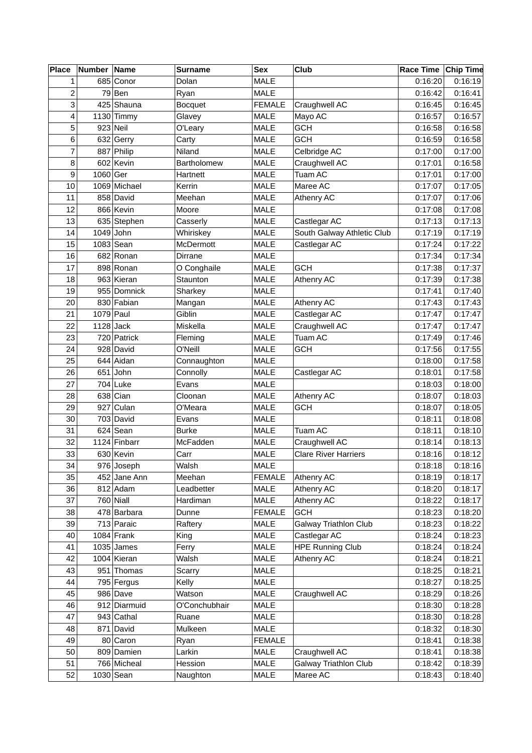| <b>Place</b> | Number Name |               | <b>Surname</b> | <b>Sex</b>    | Club                         | Race Time Chip Time |         |
|--------------|-------------|---------------|----------------|---------------|------------------------------|---------------------|---------|
| 1            |             | 685 Conor     | Dolan          | <b>MALE</b>   |                              | 0:16:20             | 0:16:19 |
| 2            |             | $79$ Ben      | Ryan           | <b>MALE</b>   |                              | 0:16:42             | 0:16:41 |
| 3            |             | 425 Shauna    | <b>Bocquet</b> | <b>FEMALE</b> | Craughwell AC                | 0:16:45             | 0:16:45 |
| 4            |             | $1130$ Timmy  | Glavey         | <b>MALE</b>   | Mayo AC                      | 0:16:57             | 0:16:57 |
| 5            |             | $923$ Neil    | O'Leary        | MALE          | <b>GCH</b>                   | 0:16:58             | 0:16:58 |
| 6            |             | $632$ Gerry   | Carty          | MALE          | <b>GCH</b>                   | 0:16:59             | 0:16:58 |
| 7            |             | 887 Philip    | Niland         | MALE          | Celbridge AC                 | 0:17:00             | 0:17:00 |
| 8            |             | 602 Kevin     | Bartholomew    | <b>MALE</b>   | Craughwell AC                | 0:17:01             | 0:16:58 |
| 9            | 1060 Ger    |               | Hartnett       | MALE          | Tuam AC                      | 0:17:01             | 0:17:00 |
| 10           |             | 1069 Michael  | Kerrin         | <b>MALE</b>   | Maree AC                     | 0:17:07             | 0:17:05 |
| 11           |             | 858 David     | Meehan         | MALE          | Athenry AC                   | 0:17:07             | 0:17:06 |
| 12           |             | 866 Kevin     | Moore          | <b>MALE</b>   |                              | 0:17:08             | 0:17:08 |
| 13           |             | 635 Stephen   | Casserly       | MALE          | Castlegar AC                 | 0:17:13             | 0:17:13 |
| 14           |             | $1049$ John   | Whiriskey      | <b>MALE</b>   | South Galway Athletic Club   | 0:17:19             | 0:17:19 |
| 15           |             | $1083$ Sean   | McDermott      | <b>MALE</b>   | Castlegar AC                 | 0:17:24             | 0:17:22 |
| 16           |             | 682 Ronan     | Dirrane        | MALE          |                              | 0:17:34             | 0:17:34 |
| 17           |             | 898 Ronan     | O Conghaile    | MALE          | <b>GCH</b>                   | 0:17:38             | 0:17:37 |
| 18           |             | 963 Kieran    | Staunton       | <b>MALE</b>   | Athenry AC                   | 0:17:39             | 0:17:38 |
| 19           |             | 955 Domnick   | Sharkey        | <b>MALE</b>   |                              | 0:17:41             | 0:17:40 |
| 20           |             | 830 Fabian    | Mangan         | <b>MALE</b>   | Athenry AC                   | 0:17:43             | 0:17:43 |
| 21           | $1079$ Paul |               | Giblin         | <b>MALE</b>   | Castlegar AC                 | 0:17:47             | 0:17:47 |
| 22           | $1128$ Jack |               | Miskella       | <b>MALE</b>   | Craughwell AC                | 0:17:47             | 0:17:47 |
| 23           |             | 720 Patrick   | Fleming        | MALE          | Tuam AC                      | 0:17:49             | 0:17:46 |
| 24           |             | $928$ David   | O'Neill        | MALE          | <b>GCH</b>                   | 0:17:56             | 0:17:55 |
| 25           |             | 644 Aidan     | Connaughton    | MALE          |                              | 0:18:00             | 0:17:58 |
| 26           |             | $651$ John    | Connolly       | <b>MALE</b>   | Castlegar AC                 | 0:18:01             | 0:17:58 |
| 27           |             | $704$ Luke    | Evans          | MALE          |                              | 0:18:03             | 0:18:00 |
| 28           |             | $638$ Cian    | Cloonan        | MALE          | Athenry AC                   | 0:18:07             | 0:18:03 |
| 29           |             | $927$ Culan   | O'Meara        | MALE          | <b>GCH</b>                   | 0:18:07             | 0:18:05 |
| 30           |             | 703 David     | Evans          | MALE          |                              | 0:18:11             | 0:18:08 |
| 31           |             | $624$ Sean    | <b>Burke</b>   | <b>MALE</b>   | Tuam AC                      | 0:18:11             | 0:18:10 |
| 32           |             | 1124 Finbarr  | McFadden       | <b>MALE</b>   | Craughwell AC                | 0:18:14             | 0:18:13 |
| 33           |             | 630 Kevin     | Carr           | <b>MALE</b>   | <b>Clare River Harriers</b>  | 0:18:16             | 0:18:12 |
| 34           |             | 976 Joseph    | Walsh          | MALE          |                              | 0:18:18             | 0:18:16 |
| 35           |             | 452 Jane Ann  | Meehan         | <b>FEMALE</b> | Athenry AC                   | 0:18:19             | 0:18:17 |
| 36           |             | $812$ Adam    | Leadbetter     | MALE          | Athenry AC                   | 0:18:20             | 0:18:17 |
| 37           |             | $760$ Niall   | Hardiman       | MALE          | Athenry AC                   | 0:18:22             | 0:18:17 |
| 38           |             | 478 Barbara   | Dunne          | <b>FEMALE</b> | <b>GCH</b>                   | 0:18:23             | 0:18:20 |
| 39           |             | 713 Paraic    | Raftery        | <b>MALE</b>   | <b>Galway Triathlon Club</b> | 0:18:23             | 0:18:22 |
| 40           |             | $1084$ Frank  | King           | MALE          | Castlegar AC                 | 0:18:24             | 0:18:23 |
| 41           |             | $1035$ James  | Ferry          | MALE          | <b>HPE Running Club</b>      | 0:18:24             | 0:18:24 |
| 42           |             | $1004$ Kieran | Walsh          | MALE          | Athenry AC                   | 0:18:24             | 0:18:21 |
| 43           |             | 951 Thomas    | Scarry         | MALE          |                              | 0:18:25             | 0:18:21 |
| 44           |             | 795 Fergus    | Kelly          | MALE          |                              | 0:18:27             | 0:18:25 |
| 45           |             | $986$ Dave    | Watson         | MALE          | Craughwell AC                | 0:18:29             | 0:18:26 |
| 46           |             | 912 Diarmuid  | O'Conchubhair  | MALE          |                              | 0:18:30             | 0:18:28 |
| 47           |             | 943 Cathal    | Ruane          | MALE          |                              | 0:18:30             | 0:18:28 |
| 48           |             | 871 David     | Mulkeen        | MALE          |                              | 0:18:32             | 0:18:30 |
| 49           |             | 80 Caron      | Ryan           | <b>FEMALE</b> |                              | 0:18:41             | 0:18:38 |
| 50           |             | 809 Damien    | Larkin         | MALE          | Craughwell AC                | 0:18:41             | 0:18:38 |
| 51           |             | 766 Micheal   | Hession        | MALE          | <b>Galway Triathlon Club</b> | 0:18:42             | 0:18:39 |
| 52           |             | $1030$ Sean   | Naughton       | MALE          | Maree AC                     | 0:18:43             | 0:18:40 |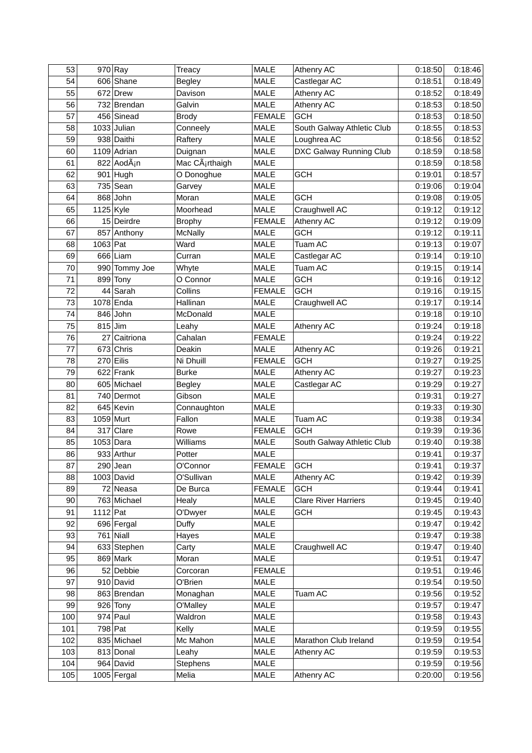| 53  |             | $970$ Ray               | Treacy          | <b>MALE</b>   | Athenry AC                  | 0:18:50 | 0:18:46 |
|-----|-------------|-------------------------|-----------------|---------------|-----------------------------|---------|---------|
| 54  |             | 606 Shane               | <b>Begley</b>   | <b>MALE</b>   | Castlegar AC                | 0:18:51 | 0:18:49 |
| 55  |             | 672 Drew                | Davison         | MALE          | Athenry AC                  | 0:18:52 | 0:18:49 |
| 56  |             | 732 Brendan             | Galvin          | MALE          | Athenry AC                  | 0:18:53 | 0:18:50 |
| 57  |             | 456 Sinead              | <b>Brody</b>    | <b>FEMALE</b> | <b>GCH</b>                  | 0:18:53 | 0:18:50 |
| 58  |             | $1033$ Julian           | Conneely        | MALE          | South Galway Athletic Club  | 0:18:55 | 0:18:53 |
| 59  |             | 938 Daithi              | Raftery         | MALE          | Loughrea AC                 | 0:18:56 | 0:18:52 |
| 60  |             | 1109 Adrian             | Duignan         | <b>MALE</b>   | DXC Galway Running Club     | 0:18:59 | 0:18:58 |
| 61  |             | 822 AodÃ <sub>i</sub> n | Mac Cárthaigh   | <b>MALE</b>   |                             | 0:18:59 | 0:18:58 |
| 62  |             | $901$ Hugh              | O Donoghue      | <b>MALE</b>   | <b>GCH</b>                  | 0:19:01 | 0:18:57 |
| 63  |             | $735$ Sean              | Garvey          | <b>MALE</b>   |                             | 0:19:06 | 0:19:04 |
| 64  |             | $868$ John              | Moran           | MALE          | <b>GCH</b>                  | 0:19:08 | 0:19:05 |
| 65  | $1125$ Kyle |                         | Moorhead        | <b>MALE</b>   | Craughwell AC               | 0:19:12 | 0:19:12 |
| 66  |             | 15 Deirdre              | <b>Brophy</b>   | <b>FEMALE</b> | Athenry AC                  | 0:19:12 | 0:19:09 |
| 67  |             | 857 Anthony             | <b>McNally</b>  | MALE          | <b>GCH</b>                  | 0:19:12 | 0:19:11 |
| 68  | $1063$ Pat  |                         | Ward            | MALE          | Tuam AC                     | 0:19:13 | 0:19:07 |
| 69  |             | $666$  Liam             | Curran          | MALE          | Castlegar AC                | 0:19:14 | 0:19:10 |
| 70  |             | 990 Tommy Joe           | Whyte           | MALE          | Tuam AC                     | 0:19:15 | 0:19:14 |
| 71  |             | 899 Tony                | O Connor        | <b>MALE</b>   | <b>GCH</b>                  | 0:19:16 | 0:19:12 |
| 72  |             | $44$ Sarah              | Collins         | <b>FEMALE</b> | <b>GCH</b>                  | 0:19:16 | 0:19:15 |
| 73  |             | $1078$ Enda             | Hallinan        | MALE          | Craughwell AC               | 0:19:17 | 0:19:14 |
| 74  |             | $846$ John              | McDonald        | MALE          |                             | 0:19:18 | 0:19:10 |
| 75  | $815$ Jim   |                         | Leahy           | <b>MALE</b>   | Athenry AC                  | 0:19:24 | 0:19:18 |
| 76  |             | 27 Caitriona            | Cahalan         | <b>FEMALE</b> |                             | 0:19:24 | 0:19:22 |
| 77  |             | $673$ Chris             | Deakin          | <b>MALE</b>   | Athenry AC                  | 0:19:26 | 0:19:21 |
| 78  |             | $270$ Eilis             | Ni Dhuill       | <b>FEMALE</b> | <b>GCH</b>                  | 0:19:27 | 0:19:25 |
| 79  |             | $622$ Frank             | <b>Burke</b>    | MALE          | Athenry AC                  | 0:19:27 | 0:19:23 |
| 80  |             | 605 Michael             | <b>Begley</b>   | <b>MALE</b>   | Castlegar AC                | 0:19:29 | 0:19:27 |
| 81  |             | 740 Dermot              | Gibson          | MALE          |                             | 0:19:31 | 0:19:27 |
| 82  |             | 645 Kevin               | Connaughton     | MALE          |                             | 0:19:33 | 0:19:30 |
| 83  | $1059$ Murt |                         | Fallon          | <b>MALE</b>   | Tuam AC                     | 0:19:38 | 0:19:34 |
| 84  |             | $317$ Clare             | Rowe            | <b>FEMALE</b> | <b>GCH</b>                  | 0:19:39 | 0:19:36 |
| 85  |             | $1053$ Dara             | <b>Williams</b> | MALE          | South Galway Athletic Club  | 0:19:40 | 0:19:38 |
| 86  |             | 933 Arthur              | Potter          | <b>MALE</b>   |                             | 0:19:41 | 0:19:37 |
| 87  |             | $\overline{290}$ Jean   | O'Connor        | <b>FEMALE</b> | <b>GCH</b>                  | 0:19:41 | 0:19:37 |
| 88  |             | $1003$ David            | O'Sullivan      | MALE          | Athenry AC                  | 0:19:42 | 0:19:39 |
| 89  |             | 72 Neasa                | De Burca        | <b>FEMALE</b> | <b>GCH</b>                  | 0:19:44 | 0:19:41 |
| 90  |             | 763 Michael             | Healy           | MALE          | <b>Clare River Harriers</b> | 0:19:45 | 0:19:40 |
| 91  | $1112$ Pat  |                         | O'Dwyer         | MALE          | <b>GCH</b>                  | 0:19:45 | 0:19:43 |
| 92  |             | 696 Fergal              | Duffy           | MALE          |                             | 0:19:47 | 0:19:42 |
| 93  |             | $761$ Niall             | Hayes           | MALE          |                             | 0:19:47 | 0:19:38 |
| 94  |             | 633 Stephen             | Carty           | MALE          | Craughwell AC               | 0:19:47 | 0:19:40 |
| 95  |             | $869$ Mark              | Moran           | MALE          |                             | 0:19:51 | 0:19:47 |
| 96  |             | 52 Debbie               | Corcoran        | <b>FEMALE</b> |                             | 0:19:51 | 0:19:46 |
| 97  |             | $910$ David             | O'Brien         | MALE          |                             | 0:19:54 | 0:19:50 |
| 98  |             | 863 Brendan             | Monaghan        | MALE          | Tuam AC                     | 0:19:56 | 0:19:52 |
| 99  |             | $926$ Tony              | O'Malley        | MALE          |                             | 0:19:57 | 0:19:47 |
| 100 |             | $974$ Paul              | Waldron         | MALE          |                             | 0:19:58 | 0:19:43 |
| 101 |             | 798 Pat                 | Kelly           | MALE          |                             | 0:19:59 | 0:19:55 |
| 102 |             | 835 Michael             | Mc Mahon        | MALE          | Marathon Club Ireland       | 0:19:59 | 0:19:54 |
| 103 |             | 813 Donal               | Leahy           | MALE          | Athenry AC                  | 0:19:59 | 0:19:53 |
| 104 |             | 964 David               | Stephens        | MALE          |                             | 0:19:59 | 0:19:56 |
| 105 |             | $1005$ Fergal           | Melia           | MALE          | Athenry AC                  | 0:20:00 | 0:19:56 |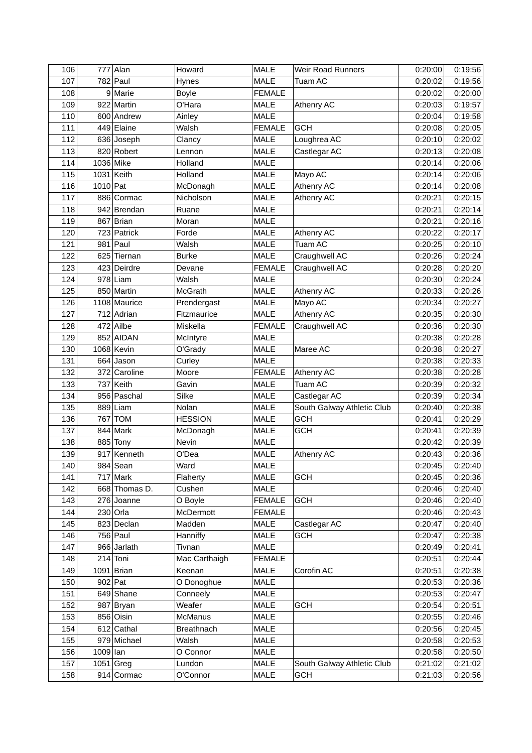| 106 |             | $777$ Alan    | Howard            | MALE          | Weir Road Runners          | 0:20:00 | 0:19:56 |
|-----|-------------|---------------|-------------------|---------------|----------------------------|---------|---------|
| 107 |             | $782$ Paul    | Hynes             | <b>MALE</b>   | Tuam AC                    | 0:20:02 | 0:19:56 |
| 108 |             | $9$ Marie     | <b>Boyle</b>      | <b>FEMALE</b> |                            | 0:20:02 | 0:20:00 |
| 109 |             | 922 Martin    | O'Hara            | <b>MALE</b>   | Athenry AC                 | 0:20:03 | 0:19:57 |
| 110 |             | 600 Andrew    | Ainley            | MALE          |                            | 0:20:04 | 0:19:58 |
| 111 |             | 449 Elaine    | Walsh             | <b>FEMALE</b> | <b>GCH</b>                 | 0:20:08 | 0:20:05 |
| 112 |             | 636 Joseph    | Clancy            | MALE          | Loughrea AC                | 0:20:10 | 0:20:02 |
| 113 |             | 820 Robert    | Lennon            | MALE          | Castlegar AC               | 0:20:13 | 0:20:08 |
| 114 |             | 1036 Mike     | Holland           | MALE          |                            | 0:20:14 | 0:20:06 |
| 115 |             | $1031$ Keith  | Holland           | <b>MALE</b>   | Mayo AC                    | 0:20:14 | 0:20:06 |
| 116 | $1010$ Pat  |               | McDonagh          | <b>MALE</b>   | Athenry AC                 | 0:20:14 | 0:20:08 |
| 117 |             | 886 Cormac    | Nicholson         | MALE          | Athenry AC                 | 0:20:21 | 0:20:15 |
| 118 |             | 942 Brendan   | Ruane             | MALE          |                            | 0:20:21 | 0:20:14 |
| 119 |             | 867 Brian     | Moran             | MALE          |                            | 0:20:21 | 0:20:16 |
| 120 |             | 723 Patrick   | Forde             | MALE          | Athenry AC                 | 0:20:22 | 0:20:17 |
| 121 |             | $981$ Paul    | Walsh             | MALE          | <b>Tuam AC</b>             | 0:20:25 | 0:20:10 |
| 122 |             | 625 Tiernan   | <b>Burke</b>      | MALE          | Craughwell AC              | 0:20:26 | 0:20:24 |
| 123 |             | 423 Deirdre   | Devane            | <b>FEMALE</b> | Craughwell AC              | 0:20:28 | 0:20:20 |
| 124 |             | $978$ Liam    | Walsh             | MALE          |                            | 0:20:30 | 0:20:24 |
| 125 |             | 850 Martin    | <b>McGrath</b>    | MALE          | Athenry AC                 | 0:20:33 | 0:20:26 |
| 126 |             | 1108 Maurice  | Prendergast       | MALE          | Mayo AC                    | 0:20:34 | 0:20:27 |
| 127 |             | 712 Adrian    | Fitzmaurice       | <b>MALE</b>   | Athenry AC                 | 0:20:35 | 0:20:30 |
| 128 |             | 472 Ailbe     | Miskella          | <b>FEMALE</b> | Craughwell AC              | 0:20:36 | 0:20:30 |
| 129 |             | 852 AIDAN     | McIntyre          | MALE          |                            | 0:20:38 | 0:20:28 |
| 130 |             | $1068$ Kevin  | O'Grady           | MALE          | Maree AC                   | 0:20:38 | 0:20:27 |
| 131 |             | $664$ Jason   | Curley            | MALE          |                            | 0:20:38 | 0:20:33 |
| 132 |             | 372 Caroline  | Moore             | <b>FEMALE</b> | Athenry AC                 | 0:20:38 | 0:20:28 |
| 133 |             | 737 Keith     | Gavin             | MALE          | Tuam AC                    | 0:20:39 | 0:20:32 |
| 134 |             | 956 Paschal   | Silke             | MALE          | Castlegar AC               | 0:20:39 | 0:20:34 |
| 135 |             | 889 Liam      | Nolan             | MALE          | South Galway Athletic Club | 0:20:40 | 0:20:38 |
| 136 |             | 767 TOM       | <b>HESSION</b>    | MALE          | <b>GCH</b>                 | 0:20:41 | 0:20:29 |
| 137 |             | $844$ Mark    | McDonagh          | <b>MALE</b>   | <b>GCH</b>                 | 0:20:41 | 0:20:39 |
| 138 |             | $885$ Tony    | Nevin             | MALE          |                            | 0:20:42 | 0:20:39 |
| 139 |             | 917 Kenneth   | O'Dea             | MALE          | Athenry AC                 | 0:20:43 | 0:20:36 |
| 140 |             | $984$ Sean    | Ward              | MALE          |                            | 0:20:45 | 0:20:40 |
| 141 |             | $717$ Mark    | Flaherty          | MALE          | <b>GCH</b>                 | 0:20:45 | 0:20:36 |
| 142 |             | 668 Thomas D. | Cushen            | MALE          |                            | 0:20:46 | 0:20:40 |
| 143 |             | 276 Joanne    | O Boyle           | <b>FEMALE</b> | <b>GCH</b>                 | 0:20:46 | 0:20:40 |
| 144 |             | $230$ Orla    | McDermott         | <b>FEMALE</b> |                            | 0:20:46 | 0:20:43 |
| 145 |             | 823 Declan    | Madden            | MALE          | Castlegar AC               | 0:20:47 | 0:20:40 |
| 146 |             | $756$ Paul    | Hanniffy          | MALE          | <b>GCH</b>                 | 0:20:47 | 0:20:38 |
| 147 |             | 966 Jarlath   | Tivnan            | MALE          |                            | 0:20:49 | 0:20:41 |
| 148 |             | $214$ Toni    | Mac Carthaigh     | <b>FEMALE</b> |                            | 0:20:51 | 0:20:44 |
| 149 |             | $1091$ Brian  | Keenan            | MALE          | Corofin AC                 | 0:20:51 | 0:20:38 |
| 150 |             | $902$ Pat     | O Donoghue        | MALE          |                            | 0:20:53 | 0:20:36 |
| 151 |             | $649$ Shane   | Conneely          | MALE          |                            | 0:20:53 | 0:20:47 |
| 152 |             | $987$ Bryan   | Weafer            | MALE          | <b>GCH</b>                 | 0:20:54 | 0:20:51 |
| 153 |             | 856 Oisin     | McManus           | MALE          |                            | 0:20:55 | 0:20:46 |
| 154 |             | $612$ Cathal  | <b>Breathnach</b> | MALE          |                            | 0:20:56 | 0:20:45 |
| 155 |             | 979 Michael   | Walsh             | MALE          |                            | 0:20:58 | 0:20:53 |
| 156 | $1009$  lan |               | O Connor          | MALE          |                            | 0:20:58 | 0:20:50 |
| 157 |             | $1051$ Greg   | Lundon            | MALE          | South Galway Athletic Club | 0:21:02 | 0:21:02 |
| 158 |             | 914 Cormac    | O'Connor          | MALE          | <b>GCH</b>                 | 0:21:03 | 0:20:56 |
|     |             |               |                   |               |                            |         |         |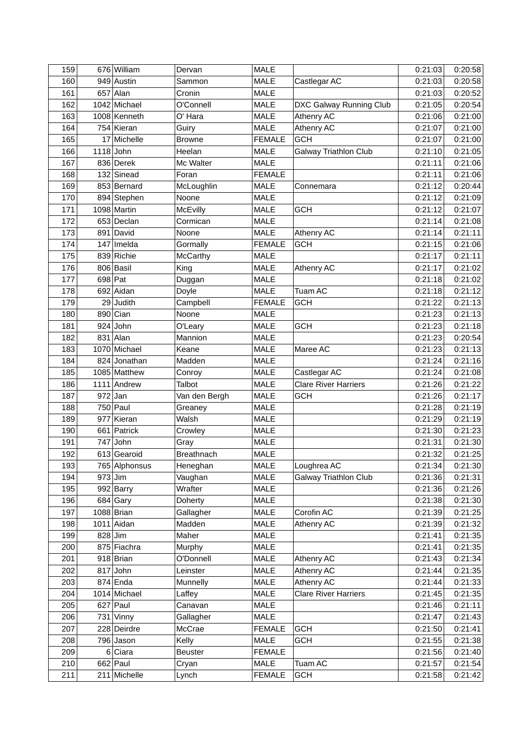| 159        |           | 676 William            | Dervan            | <b>MALE</b>   |                              | 0:21:03            | 0:20:58 |
|------------|-----------|------------------------|-------------------|---------------|------------------------------|--------------------|---------|
| 160        |           | 949 Austin             | Sammon            | <b>MALE</b>   | Castlegar AC                 | 0:21:03            | 0:20:58 |
| 161        |           | $657$ Alan             | Cronin            | MALE          |                              | 0:21:03            | 0:20:52 |
| 162        |           | 1042 Michael           | O'Connell         | <b>MALE</b>   | DXC Galway Running Club      | 0:21:05            | 0:20:54 |
| 163        |           | 1008 Kenneth           | O' Hara           | MALE          | Athenry AC                   | 0:21:06            | 0:21:00 |
| 164        |           | 754 Kieran             | Guiry             | MALE          | Athenry AC                   | 0:21:07            | 0:21:00 |
| 165        |           | 17 Michelle            | <b>Browne</b>     | <b>FEMALE</b> | <b>GCH</b>                   | 0:21:07            | 0:21:00 |
| 166        |           | $1118$ John            | Heelan            | MALE          | <b>Galway Triathlon Club</b> | 0:21:10            | 0:21:05 |
| 167        |           | 836 Derek              | Mc Walter         | <b>MALE</b>   |                              | 0:21:11            | 0:21:06 |
| 168        |           | 132 Sinead             | Foran             | <b>FEMALE</b> |                              | 0:21:11            | 0:21:06 |
| 169        |           | 853 Bernard            | McLoughlin        | MALE          | Connemara                    | 0:21:12            | 0:20:44 |
| 170        |           | 894 Stephen            | Noone             | <b>MALE</b>   |                              | 0:21:12            | 0:21:09 |
| 171        |           | 1098 Martin            | McEvilly          | MALE          | <b>GCH</b>                   | 0:21:12            | 0:21:07 |
| 172        |           | 653 Declan             | Cormican          | MALE          |                              | 0:21:14            | 0:21:08 |
| 173        |           | 891 David              | Noone             | MALE          | Athenry AC                   | 0:21:14            | 0:21:11 |
| 174        |           | $147$  Imelda          | Gormally          | <b>FEMALE</b> | <b>GCH</b>                   | 0:21:15            | 0:21:06 |
| 175        |           | 839 Richie             | <b>McCarthy</b>   | MALE          |                              | 0:21:17            | 0:21:11 |
| 176        |           | 806 Basil              | King              | MALE          | Athenry AC                   | 0:21:17            | 0:21:02 |
| 177        | $698$ Pat |                        |                   | MALE          |                              | 0:21:18            | 0:21:02 |
|            |           |                        | Duggan            |               |                              |                    | 0:21:12 |
| 178<br>179 |           | 692 Aidan<br>29 Judith | Doyle             | <b>MALE</b>   | Tuam AC                      | 0:21:18<br>0:21:22 |         |
|            |           |                        | Campbell          | <b>FEMALE</b> | <b>GCH</b>                   |                    | 0:21:13 |
| 180        |           | $890$ Cian             | Noone             | <b>MALE</b>   |                              | 0:21:23            | 0:21:13 |
| 181        |           | $924$ John             | O'Leary           | MALE          | <b>GCH</b>                   | 0:21:23            | 0:21:18 |
| 182        |           | $831$ Alan             | Mannion           | MALE          |                              | 0:21:23            | 0:20:54 |
| 183        |           | 1070 Michael           | Keane             | MALE          | Maree AC                     | 0:21:23            | 0:21:13 |
| 184        |           | 824 Jonathan           | Madden            | MALE          |                              | 0:21:24            | 0:21:16 |
| 185        |           | 1085 Matthew           | Conroy            | MALE          | Castlegar AC                 | 0:21:24            | 0:21:08 |
| 186        |           | 1111 Andrew            | Talbot            | <b>MALE</b>   | <b>Clare River Harriers</b>  | 0:21:26            | 0:21:22 |
| 187        |           | $972$ Jan              | Van den Bergh     | MALE          | <b>GCH</b>                   | 0:21:26            | 0:21:17 |
| 188        |           | $750$ Paul             | Greaney           | MALE          |                              | 0:21:28            | 0:21:19 |
| 189        |           | 977 Kieran             | Walsh             | <b>MALE</b>   |                              | 0:21:29            | 0:21:19 |
| 190        |           | 661 Patrick            | Crowley           | <b>MALE</b>   |                              | 0:21:30            | 0:21:23 |
| 191        |           | $747$ John             | Gray              | <b>MALE</b>   |                              | 0:21:31            | 0:21:30 |
| 192        |           | 613 Gearoid            | <b>Breathnach</b> | <b>MALE</b>   |                              | 0:21:32            | 0:21:25 |
| 193        |           | 765 Alphonsus          | Heneghan          | MALE          | Loughrea AC                  | 0:21:34            | 0:21:30 |
| 194        | $973$ Jim |                        | Vaughan           | MALE          | <b>Galway Triathlon Club</b> | 0:21:36            | 0:21:31 |
| 195        |           | $992$ Barry            | Wrafter           | MALE          |                              | 0:21:36            | 0:21:26 |
| 196        |           | $684$ Gary             | Doherty           | <b>MALE</b>   |                              | 0:21:38            | 0:21:30 |
| 197        |           | $1088$ Brian           | Gallagher         | MALE          | Corofin AC                   | 0:21:39            | 0:21:25 |
| 198        |           | $1011$ Aidan           | Madden            | MALE          | Athenry AC                   | 0:21:39            | 0:21:32 |
| 199        | $828$ Jim |                        | Maher             | MALE          |                              | 0:21:41            | 0:21:35 |
| 200        |           | 875 Fiachra            | Murphy            | MALE          |                              | 0:21:41            | 0:21:35 |
| 201        |           | $918$ Brian            | O'Donnell         | MALE          | Athenry AC                   | 0:21:43            | 0:21:34 |
| 202        |           | $817$ John             | Leinster          | MALE          | Athenry AC                   | 0:21:44            | 0:21:35 |
| 203        |           | $874$ Enda             | Munnelly          | MALE          | Athenry AC                   | 0:21:44            | 0:21:33 |
| 204        |           | 1014 Michael           | Laffey            | MALE          | <b>Clare River Harriers</b>  | 0:21:45            | 0:21:35 |
| 205        |           | $627$ Paul             | Canavan           | MALE          |                              | 0:21:46            | 0:21:11 |
| 206        |           | $731$ Vinny            | Gallagher         | MALE          |                              | 0:21:47            | 0:21:43 |
| 207        |           | 228 Deirdre            | McCrae            | <b>FEMALE</b> | <b>GCH</b>                   | 0:21:50            | 0:21:41 |
| 208        |           | 796 Jason              | Kelly             | MALE          | <b>GCH</b>                   | 0:21:55            | 0:21:38 |
| 209        |           | $6 Ci$ ara             | Beuster           | <b>FEMALE</b> |                              | 0:21:56            | 0:21:40 |
| 210        |           | $662$ Paul             | Cryan             | <b>MALE</b>   | Tuam AC                      | 0:21:57            | 0:21:54 |
| 211        |           | 211 Michelle           | Lynch             | <b>FEMALE</b> | <b>GCH</b>                   | 0:21:58            | 0:21:42 |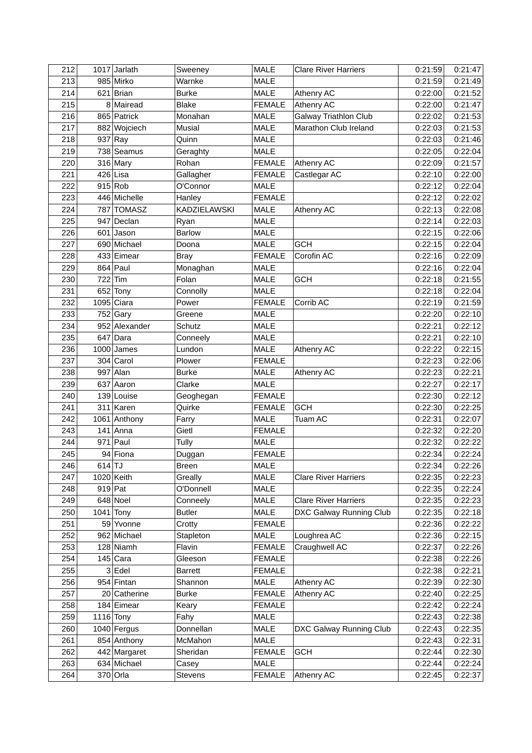| 212 |          | $1017$ Jarlath | Sweeney        | <b>MALE</b>   | <b>Clare River Harriers</b>    | 0:21:59 | 0:21:47 |
|-----|----------|----------------|----------------|---------------|--------------------------------|---------|---------|
| 213 |          | 985 Mirko      | Warnke         | <b>MALE</b>   |                                | 0:21:59 | 0:21:49 |
| 214 |          | $621$ Brian    | <b>Burke</b>   | MALE          | Athenry AC                     | 0:22:00 | 0:21:52 |
| 215 |          | 8 Mairead      | <b>Blake</b>   | <b>FEMALE</b> | Athenry AC                     | 0:22:00 | 0:21:47 |
| 216 |          | 865 Patrick    | Monahan        | MALE          | <b>Galway Triathlon Club</b>   | 0:22:02 | 0:21:53 |
| 217 |          | 882 Wojciech   | Musial         | MALE          | Marathon Club Ireland          | 0:22:03 | 0:21:53 |
| 218 |          | $937$ Ray      | Quinn          | MALE          |                                | 0:22:03 | 0:21:46 |
| 219 |          | 738 Seamus     | Geraghty       | MALE          |                                | 0:22:05 | 0:22:04 |
| 220 |          | $316$ Mary     | Rohan          | <b>FEMALE</b> | Athenry AC                     | 0:22:09 | 0:21:57 |
| 221 |          | $426$ Lisa     | Gallagher      | <b>FEMALE</b> | Castlegar AC                   | 0:22:10 | 0:22:00 |
| 222 |          | 915 Rob        | O'Connor       | <b>MALE</b>   |                                | 0:22:12 | 0:22:04 |
| 223 |          | 446 Michelle   | Hanley         | <b>FEMALE</b> |                                | 0:22:12 | 0:22:02 |
| 224 |          | 787 TOMASZ     | KADZIELAWSKI   | <b>MALE</b>   | Athenry AC                     | 0:22:13 | 0:22:08 |
| 225 |          | 947 Declan     | Ryan           | MALE          |                                | 0:22:14 | 0:22:03 |
| 226 |          | $601$ Jason    | <b>Barlow</b>  | MALE          |                                | 0:22:15 | 0:22:06 |
| 227 |          | 690 Michael    | Doona          | <b>MALE</b>   | <b>GCH</b>                     | 0:22:15 | 0:22:04 |
| 228 |          | 433 Eimear     | <b>Bray</b>    | <b>FEMALE</b> | Corofin AC                     | 0:22:16 | 0:22:09 |
| 229 |          | $864$ Paul     | Monaghan       | MALE          |                                | 0:22:16 | 0:22:04 |
| 230 |          | $722$ Tim      | Folan          | MALE          | <b>GCH</b>                     | 0:22:18 | 0:21:55 |
| 231 |          | 652 Tony       | Connolly       | <b>MALE</b>   |                                | 0:22:18 | 0:22:04 |
| 232 |          | $1095$ Ciara   | Power          | <b>FEMALE</b> | Corrib AC                      | 0:22:19 | 0:21:59 |
| 233 |          | $752$ Gary     | Greene         | MALE          |                                | 0:22:20 | 0:22:10 |
| 234 |          | 952 Alexander  | Schutz         | MALE          |                                | 0:22:21 | 0:22:12 |
| 235 |          | $647$ Dara     | Conneely       | MALE          |                                | 0:22:21 | 0:22:10 |
| 236 |          | $1000$ James   | Lundon         | MALE          | Athenry AC                     | 0:22:22 | 0:22:15 |
| 237 |          | $304$ Carol    | Plower         | <b>FEMALE</b> |                                | 0:22:23 | 0:22:06 |
| 238 |          | $997$ Alan     | <b>Burke</b>   | MALE          | Athenry AC                     | 0:22:23 | 0:22:21 |
| 239 |          | 637 Aaron      | Clarke         | MALE          |                                | 0:22:27 | 0:22:17 |
| 240 |          | 139 Louise     | Geoghegan      | <b>FEMALE</b> |                                | 0:22:30 | 0:22:12 |
| 241 |          | $311$ Karen    | Quirke         | <b>FEMALE</b> | <b>GCH</b>                     | 0:22:30 | 0:22:25 |
| 242 |          | 1061 Anthony   | Farry          | <b>MALE</b>   | <b>Tuam AC</b>                 | 0:22:31 | 0:22:07 |
| 243 |          | $141$ Anna     | Gietl          | <b>FEMALE</b> |                                | 0:22:32 | 0:22:20 |
| 244 |          | $971$ Paul     | Tully          | MALE          |                                | 0:22:32 | 0:22:22 |
| 245 |          | 94 Fiona       | Duggan         | <b>FEMALE</b> |                                | 0:22:34 | 0:22:24 |
| 246 | $614$ TJ |                | Breen          | MALE          |                                | 0:22:34 | 0:22:26 |
| 247 |          | $1020$ Keith   | Greally        | MALE          | <b>Clare River Harriers</b>    | 0:22:35 | 0:22:23 |
| 248 |          | $919$ Pat      | O'Donnell      | MALE          |                                | 0:22:35 | 0:22:24 |
| 249 |          | $648$ Noel     | Conneely       | MALE          | <b>Clare River Harriers</b>    | 0:22:35 | 0:22:23 |
| 250 |          | $1041$ Tony    | <b>Butler</b>  | <b>MALE</b>   | <b>DXC Galway Running Club</b> | 0:22:35 | 0:22:18 |
| 251 |          | 59 Yvonne      | Crotty         | <b>FEMALE</b> |                                | 0:22:36 | 0:22:22 |
| 252 |          | 962 Michael    | Stapleton      | MALE          | Loughrea AC                    | 0:22:36 | 0:22:15 |
| 253 |          | $128$ Niamh    | Flavin         | <b>FEMALE</b> | Craughwell AC                  | 0:22:37 | 0:22:26 |
| 254 |          | $145$ Cara     | Gleeson        | <b>FEMALE</b> |                                | 0:22:38 | 0:22:26 |
| 255 |          | $3$ Edel       | <b>Barrett</b> | <b>FEMALE</b> |                                | 0:22:38 | 0:22:21 |
| 256 |          | 954 Fintan     | Shannon        | MALE          | Athenry AC                     | 0:22:39 | 0:22:30 |
| 257 |          | 20 Catherine   | <b>Burke</b>   | <b>FEMALE</b> | Athenry AC                     | 0:22:40 | 0:22:25 |
| 258 |          | 184 Eimear     | Keary          | <b>FEMALE</b> |                                | 0:22:42 | 0:22:24 |
| 259 |          | $1116$ Tony    | Fahy           | MALE          |                                | 0:22:43 | 0:22:38 |
| 260 |          | $1040$ Fergus  | Donnellan      | MALE          | DXC Galway Running Club        | 0:22:43 | 0:22:35 |
| 261 |          | 854 Anthony    | McMahon        | MALE          |                                | 0:22:43 | 0:22:31 |
| 262 |          | 442 Margaret   | Sheridan       | <b>FEMALE</b> | <b>GCH</b>                     | 0:22:44 | 0:22:30 |
| 263 |          | 634 Michael    | Casey          | <b>MALE</b>   |                                | 0:22:44 | 0:22:24 |
| 264 |          | $370$ Orla     | <b>Stevens</b> | <b>FEMALE</b> | Athenry AC                     | 0:22:45 | 0:22:37 |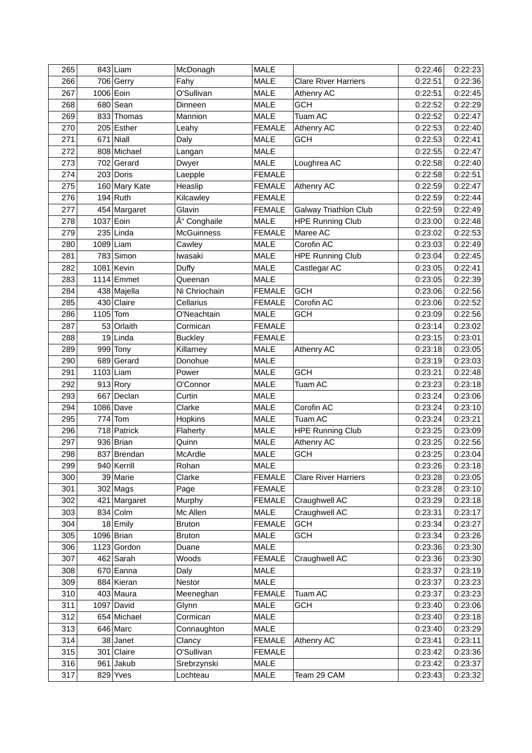| 265 |            | $843$ Liam    | McDonagh          | MALE          |                             | 0:22:46 | 0:22:23 |
|-----|------------|---------------|-------------------|---------------|-----------------------------|---------|---------|
| 266 |            | 706 Gerry     | Fahy              | <b>MALE</b>   | <b>Clare River Harriers</b> | 0:22:51 | 0:22:36 |
| 267 | 1006 Eoin  |               | O'Sullivan        | MALE          | Athenry AC                  | 0:22:51 | 0:22:45 |
| 268 |            | $680$ Sean    | Dinneen           | MALE          | <b>GCH</b>                  | 0:22:52 | 0:22:29 |
| 269 |            | 833 Thomas    | Mannion           | MALE          | Tuam AC                     | 0:22:52 | 0:22:47 |
| 270 |            | 205 Esther    | Leahy             | <b>FEMALE</b> | Athenry AC                  | 0:22:53 | 0:22:40 |
| 271 |            | $671$ Niall   | Daly              | MALE          | <b>GCH</b>                  | 0:22:53 | 0:22:41 |
| 272 |            | 808 Michael   | Langan            | MALE          |                             | 0:22:55 | 0:22:47 |
| 273 |            | 702 Gerard    | Dwyer             | <b>MALE</b>   | Loughrea AC                 | 0:22:58 | 0:22:40 |
| 274 |            | 203 Doris     | Laepple           | <b>FEMALE</b> |                             | 0:22:58 | 0:22:51 |
| 275 |            | 160 Mary Kate | Heaslip           | <b>FEMALE</b> | Athenry AC                  | 0:22:59 | 0:22:47 |
| 276 |            | $194$ Ruth    | Kilcawley         | <b>FEMALE</b> |                             | 0:22:59 | 0:22:44 |
| 277 |            | 454 Margaret  | Glavin            | <b>FEMALE</b> | Galway Triathlon Club       | 0:22:59 | 0:22:49 |
| 278 | 1037 Eoin  |               | Ó Conghaile       | MALE          | <b>HPE Running Club</b>     | 0:23:00 | 0:22:48 |
| 279 |            | $235$ Linda   | <b>McGuinness</b> | <b>FEMALE</b> | Maree AC                    | 0:23:02 | 0:22:53 |
| 280 |            | $1089$ Liam   | Cawley            | MALE          | Corofin AC                  | 0:23:03 | 0:22:49 |
| 281 |            | 783 Simon     | Iwasaki           | MALE          | <b>HPE Running Club</b>     | 0:23:04 | 0:22:45 |
| 282 |            | $1081$ Kevin  | Duffy             | MALE          | Castlegar AC                | 0:23:05 | 0:22:41 |
| 283 |            | $1114$ Emmet  | Queenan           | MALE          |                             | 0:23:05 | 0:22:39 |
| 284 |            | 438 Majella   | Ni Chriochain     | <b>FEMALE</b> | <b>GCH</b>                  | 0:23:06 | 0:22:56 |
| 285 |            | 430 Claire    | Cellarius         | <b>FEMALE</b> | Corofin AC                  | 0:23:06 | 0:22:52 |
| 286 | $1105$ Tom |               | O'Neachtain       | MALE          | <b>GCH</b>                  | 0:23:09 | 0:22:56 |
| 287 |            | 53 Orlaith    | Cormican          | <b>FEMALE</b> |                             | 0:23:14 | 0:23:02 |
| 288 |            | 19 Linda      | <b>Buckley</b>    | <b>FEMALE</b> |                             | 0:23:15 | 0:23:01 |
| 289 |            | $999$ Tony    | Killarney         | MALE          | Athenry AC                  | 0:23:18 | 0:23:05 |
| 290 |            | 689 Gerard    | Donohue           | MALE          |                             | 0:23:19 | 0:23:03 |
| 291 |            | $1103$ Liam   | Power             | MALE          | <b>GCH</b>                  | 0:23:21 | 0:22:48 |
| 292 |            | $913$ Rory    | O'Connor          | <b>MALE</b>   | Tuam AC                     | 0:23:23 | 0:23:18 |
| 293 |            | 667 Declan    | Curtin            | MALE          |                             | 0:23:24 | 0:23:06 |
| 294 |            | 1086 Dave     | Clarke            | MALE          | Corofin AC                  | 0:23:24 | 0:23:10 |
| 295 |            | $774$ Tom     | Hopkins           | MALE          | Tuam AC                     | 0:23:24 | 0:23:21 |
| 296 |            | 718 Patrick   | Flaherty          | MALE          | <b>HPE Running Club</b>     | 0:23:25 | 0:23:09 |
| 297 |            | $936$ Brian   | Quinn             | <b>MALE</b>   | Athenry AC                  | 0:23:25 | 0:22:56 |
| 298 |            | 837 Brendan   | McArdle           | <b>MALE</b>   | <b>GCH</b>                  | 0:23:25 | 0:23:04 |
| 299 |            | 940 Kerrill   | Rohan             | MALE          |                             | 0:23:26 | 0:23:18 |
| 300 |            | 39 Marie      | Clarke            | <b>FEMALE</b> | <b>Clare River Harriers</b> | 0:23:28 | 0:23:05 |
| 301 |            | $302$ Mags    | Page              | <b>FEMALE</b> |                             | 0:23:28 | 0:23:10 |
| 302 |            | 421 Margaret  | Murphy            | <b>FEMALE</b> | Craughwell AC               | 0:23:29 | 0:23:18 |
| 303 |            | $834$ Colm    | Mc Allen          | MALE          | Craughwell AC               | 0:23:31 | 0:23:17 |
| 304 |            | $18$ Emily    | <b>Bruton</b>     | <b>FEMALE</b> | <b>GCH</b>                  | 0:23:34 | 0:23:27 |
| 305 |            | $1096$ Brian  | <b>Bruton</b>     | MALE          | <b>GCH</b>                  | 0:23:34 | 0:23:26 |
| 306 |            | 1123 Gordon   | Duane             | MALE          |                             | 0:23:36 | 0:23:30 |
| 307 |            | $462$ Sarah   | Woods             | <b>FEMALE</b> | Craughwell AC               | 0:23:36 | 0:23:30 |
| 308 |            | 670 Eanna     | Daly              | <b>MALE</b>   |                             | 0:23:37 | 0:23:19 |
| 309 |            | 884 Kieran    | Nestor            | MALE          |                             | 0:23:37 | 0:23:23 |
| 310 |            | 403 Maura     | Meeneghan         | <b>FEMALE</b> | Tuam AC                     | 0:23:37 | 0:23:23 |
| 311 |            | $1097$ David  | Glynn             | MALE          | <b>GCH</b>                  | 0:23:40 | 0:23:06 |
| 312 |            | 654 Michael   | Cormican          | MALE          |                             | 0:23:40 | 0:23:18 |
| 313 |            | $646$ Marc    | Connaughton       | MALE          |                             | 0:23:40 | 0:23:29 |
| 314 |            | 38 Janet      | Clancy            | FEMALE        | Athenry AC                  | 0:23:41 | 0:23:11 |
| 315 |            | 301 Claire    | O'Sullivan        | <b>FEMALE</b> |                             | 0:23:42 | 0:23:36 |
| 316 |            | $961$ Jakub   | Srebrzynski       | MALE          |                             | 0:23:42 | 0:23:37 |
| 317 |            | 829 Yves      | Lochteau          | MALE          | Team 29 CAM                 | 0:23:43 | 0:23:32 |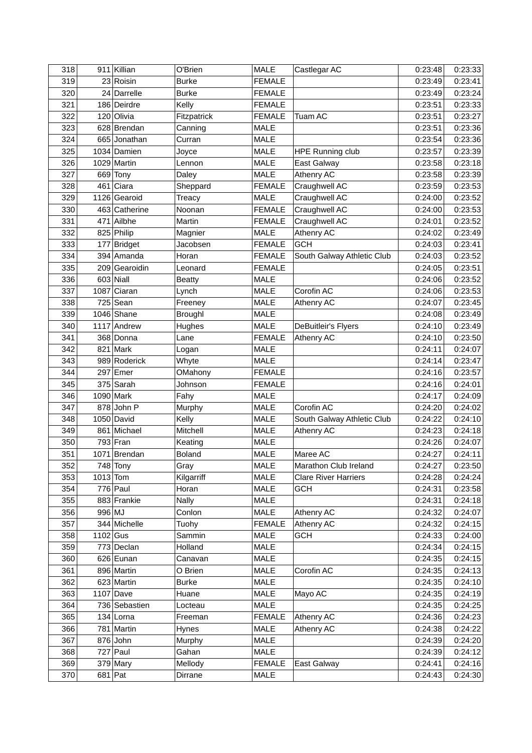| 318 |            | 911 Killian   | O'Brien       | <b>MALE</b>   | Castlegar AC                | 0:23:48 | 0:23:33 |
|-----|------------|---------------|---------------|---------------|-----------------------------|---------|---------|
| 319 |            | 23 Roisin     | <b>Burke</b>  | <b>FEMALE</b> |                             | 0:23:49 | 0:23:41 |
| 320 |            | 24 Darrelle   | <b>Burke</b>  | <b>FEMALE</b> |                             | 0:23:49 | 0:23:24 |
| 321 |            | 186 Deirdre   | Kelly         | <b>FEMALE</b> |                             | 0:23:51 | 0:23:33 |
| 322 |            | 120 Olivia    | Fitzpatrick   | <b>FEMALE</b> | Tuam AC                     | 0:23:51 | 0:23:27 |
| 323 |            | 628 Brendan   | Canning       | <b>MALE</b>   |                             | 0:23:51 | 0:23:36 |
| 324 |            | 665 Jonathan  | Curran        | MALE          |                             | 0:23:54 | 0:23:36 |
| 325 |            | 1034 Damien   | Joyce         | MALE          | <b>HPE Running club</b>     | 0:23:57 | 0:23:39 |
| 326 |            | 1029 Martin   | Lennon        | MALE          | <b>East Galway</b>          | 0:23:58 | 0:23:18 |
| 327 |            | $669$ Tony    | Daley         | <b>MALE</b>   | Athenry AC                  | 0:23:58 | 0:23:39 |
| 328 |            | 461 Ciara     | Sheppard      | <b>FEMALE</b> | Craughwell AC               | 0:23:59 | 0:23:53 |
| 329 |            | 1126 Gearoid  | Treacy        | MALE          | Craughwell AC               | 0:24:00 | 0:23:52 |
| 330 |            | 463 Catherine | Noonan        | <b>FEMALE</b> | Craughwell AC               | 0:24:00 | 0:23:53 |
| 331 |            | 471 Ailbhe    | Martin        | <b>FEMALE</b> | Craughwell AC               | 0:24:01 | 0:23:52 |
| 332 |            | 825 Philip    | Magnier       | MALE          | Athenry AC                  | 0:24:02 | 0:23:49 |
| 333 |            | 177 Bridget   | Jacobsen      | <b>FEMALE</b> | <b>GCH</b>                  | 0:24:03 | 0:23:41 |
| 334 |            | 394 Amanda    | Horan         | <b>FEMALE</b> | South Galway Athletic Club  | 0:24:03 | 0:23:52 |
| 335 |            | 209 Gearoidin | Leonard       | <b>FEMALE</b> |                             | 0:24:05 | 0:23:51 |
| 336 |            | $603$ Niall   | <b>Beatty</b> | MALE          |                             | 0:24:06 | 0:23:52 |
| 337 | 1087       | Ciaran        | Lynch         | MALE          | Corofin AC                  | 0:24:06 | 0:23:53 |
| 338 |            | $725$ Sean    | Freeney       | MALE          | Athenry AC                  | 0:24:07 | 0:23:45 |
| 339 |            | $1046$ Shane  | Broughl       | MALE          |                             | 0:24:08 | 0:23:49 |
| 340 |            | 1117 Andrew   | Hughes        | <b>MALE</b>   | DeBuitleir's Flyers         | 0:24:10 | 0:23:49 |
| 341 |            | 368 Donna     | Lane          | <b>FEMALE</b> | Athenry AC                  | 0:24:10 | 0:23:50 |
| 342 |            | $821$ Mark    | Logan         | MALE          |                             | 0:24:11 | 0:24:07 |
| 343 |            | 989 Roderick  | Whyte         | MALE          |                             | 0:24:14 | 0:23:47 |
| 344 |            | $297$ Emer    | OMahony       | <b>FEMALE</b> |                             | 0:24:16 | 0:23:57 |
| 345 |            | 375 Sarah     | Johnson       | <b>FEMALE</b> |                             | 0:24:16 | 0:24:01 |
| 346 |            | 1090 Mark     | Fahy          | MALE          |                             | 0:24:17 | 0:24:09 |
| 347 |            | 878 John P    | Murphy        | MALE          | Corofin AC                  | 0:24:20 | 0:24:02 |
| 348 |            | 1050 David    | Kelly         | MALE          | South Galway Athletic Club  | 0:24:22 | 0:24:10 |
| 349 |            | 861 Michael   | Mitchell      | MALE          | Athenry AC                  | 0:24:23 | 0:24:18 |
| 350 |            | 793 Fran      | Keating       | <b>MALE</b>   |                             | 0:24:26 | 0:24:07 |
| 351 |            | 1071 Brendan  | <b>Boland</b> | <b>MALE</b>   | Maree AC                    | 0:24:27 | 0:24:11 |
| 352 |            | 748 Tony      | Gray          | <b>MALE</b>   | Marathon Club Ireland       | 0:24:27 | 0:23:50 |
| 353 | $1013$ Tom |               | Kilgarriff    | MALE          | <b>Clare River Harriers</b> | 0:24:28 | 0:24:24 |
| 354 |            | $776$ Paul    | Horan         | MALE          | <b>GCH</b>                  | 0:24:31 | 0:23:58 |
| 355 |            | 883 Frankie   | Nally         | MALE          |                             | 0:24:31 | 0:24:18 |
| 356 | $996$ MJ   |               | Conlon        | MALE          | Athenry AC                  | 0:24:32 | 0:24:07 |
| 357 |            | 344 Michelle  | Tuohy         | <b>FEMALE</b> | Athenry AC                  | 0:24:32 | 0:24:15 |
| 358 | $1102$ Gus |               | Sammin        | <b>MALE</b>   | <b>GCH</b>                  | 0:24:33 | 0:24:00 |
| 359 |            | 773 Declan    | Holland       | MALE          |                             | 0:24:34 | 0:24:15 |
| 360 |            | 626 Eunan     | Canavan       | MALE          |                             | 0:24:35 | 0:24:15 |
| 361 |            | 896 Martin    | O Brien       | MALE          | Corofin AC                  | 0:24:35 | 0:24:13 |
| 362 |            | 623 Martin    | <b>Burke</b>  | MALE          |                             | 0:24:35 | 0:24:10 |
| 363 |            | $1107$ Dave   | Huane         | MALE          | Mayo AC                     | 0:24:35 | 0:24:19 |
| 364 |            | 736 Sebastien | Locteau       | MALE          |                             | 0:24:35 | 0:24:25 |
| 365 |            | 134 Lorna     | Freeman       | <b>FEMALE</b> | Athenry AC                  | 0:24:36 | 0:24:23 |
| 366 |            | 781 Martin    | Hynes         | MALE          | Athenry AC                  | 0:24:38 | 0:24:22 |
| 367 |            | $876$ John    | Murphy        | MALE          |                             | 0:24:39 | 0:24:20 |
| 368 |            | $727$ Paul    | Gahan         | MALE          |                             | 0:24:39 | 0:24:12 |
| 369 |            | $379$ Mary    | Mellody       | <b>FEMALE</b> | East Galway                 | 0:24:41 | 0:24:16 |
| 370 | $681$ Pat  |               | Dirrane       | MALE          |                             | 0:24:43 | 0:24:30 |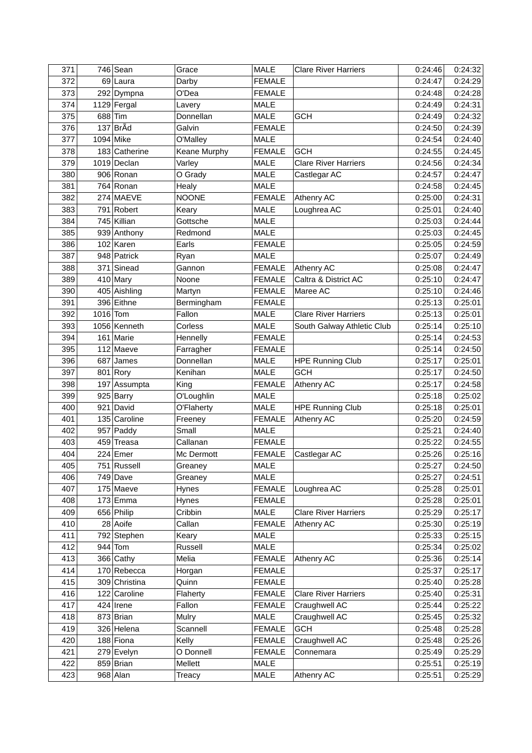| 371 |            | $746$ Sean    | Grace        | <b>MALE</b>   | <b>Clare River Harriers</b> | 0:24:46 | 0:24:32 |
|-----|------------|---------------|--------------|---------------|-----------------------------|---------|---------|
| 372 |            | 69 Laura      | Darby        | <b>FEMALE</b> |                             | 0:24:47 | 0:24:29 |
| 373 |            | 292 Dympna    | O'Dea        | <b>FEMALE</b> |                             | 0:24:48 | 0:24:28 |
| 374 |            | $1129$ Fergal | Lavery       | <b>MALE</b>   |                             | 0:24:49 | 0:24:31 |
| 375 |            | $688$ Tim     | Donnellan    | <b>MALE</b>   | <b>GCH</b>                  | 0:24:49 | 0:24:32 |
| 376 |            | $137$ BrÃd    | Galvin       | <b>FEMALE</b> |                             | 0:24:50 | 0:24:39 |
| 377 |            | 1094 Mike     | O'Malley     | <b>MALE</b>   |                             | 0:24:54 | 0:24:40 |
| 378 |            | 183 Catherine | Keane Murphy | <b>FEMALE</b> | <b>GCH</b>                  | 0:24:55 | 0:24:45 |
| 379 |            | 1019 Declan   | Varley       | <b>MALE</b>   | <b>Clare River Harriers</b> | 0:24:56 | 0:24:34 |
| 380 |            | 906 Ronan     | O Grady      | <b>MALE</b>   | Castlegar AC                | 0:24:57 | 0:24:47 |
| 381 |            | 764 Ronan     | Healy        | <b>MALE</b>   |                             | 0:24:58 | 0:24:45 |
| 382 |            | 274 MAEVE     | <b>NOONE</b> | <b>FEMALE</b> | Athenry AC                  | 0:25:00 | 0:24:31 |
| 383 |            | 791 Robert    | Keary        | <b>MALE</b>   | Loughrea AC                 | 0:25:01 | 0:24:40 |
| 384 |            | 745 Killian   | Gottsche     | MALE          |                             | 0:25:03 | 0:24:44 |
| 385 |            | 939 Anthony   | Redmond      | MALE          |                             | 0:25:03 | 0:24:45 |
| 386 |            | $102$ Karen   | Earls        | <b>FEMALE</b> |                             | 0:25:05 | 0:24:59 |
| 387 |            | 948 Patrick   | Ryan         | <b>MALE</b>   |                             | 0:25:07 | 0:24:49 |
| 388 |            | 371 Sinead    | Gannon       | <b>FEMALE</b> | Athenry AC                  | 0:25:08 | 0:24:47 |
| 389 |            | $410$ Mary    | Noone        | <b>FEMALE</b> | Caltra & District AC        | 0:25:10 | 0:24:47 |
| 390 |            | 405 Aishling  | Martyn       | <b>FEMALE</b> | Maree AC                    | 0:25:10 | 0:24:46 |
| 391 |            | 396 Eithne    | Bermingham   | <b>FEMALE</b> |                             | 0:25:13 | 0:25:01 |
| 392 | $1016$ Tom |               | Fallon       | MALE          | <b>Clare River Harriers</b> | 0:25:13 | 0:25:01 |
| 393 |            | 1056 Kenneth  | Corless      | <b>MALE</b>   | South Galway Athletic Club  | 0:25:14 | 0:25:10 |
| 394 |            | 161 Marie     | Hennelly     | <b>FEMALE</b> |                             | 0:25:14 | 0:24:53 |
| 395 |            | $112$ Maeve   | Farragher    | <b>FEMALE</b> |                             | 0:25:14 | 0:24:50 |
| 396 |            | 687 James     | Donnellan    | <b>MALE</b>   | <b>HPE Running Club</b>     | 0:25:17 | 0:25:01 |
| 397 |            | $801$ Rory    | Kenihan      | <b>MALE</b>   | <b>GCH</b>                  | 0:25:17 | 0:24:50 |
| 398 |            | 197 Assumpta  | King         | <b>FEMALE</b> | Athenry AC                  | 0:25:17 | 0:24:58 |
| 399 |            | $925$ Barry   | O'Loughlin   | MALE          |                             | 0:25:18 | 0:25:02 |
| 400 |            | 921 David     | O'Flaherty   | <b>MALE</b>   | <b>HPE Running Club</b>     | 0:25:18 | 0:25:01 |
| 401 |            | 135 Caroline  | Freeney      | <b>FEMALE</b> | Athenry AC                  | 0:25:20 | 0:24:59 |
| 402 |            | $957$ Paddy   | Small        | <b>MALE</b>   |                             | 0:25:21 | 0:24:40 |
| 403 |            | 459 Treasa    | Callanan     | <b>FEMALE</b> |                             | 0:25:22 | 0:24:55 |
| 404 |            | $224$ Emer    | Mc Dermott   | <b>FEMALE</b> | Castlegar AC                | 0:25:26 | 0:25:16 |
| 405 |            | 751 Russell   | Greaney      | MALE          |                             | 0:25:27 | 0:24:50 |
| 406 |            | 749 Dave      | Greaney      | MALE          |                             | 0:25:27 | 0:24:51 |
| 407 |            | $175$ Maeve   | Hynes        | <b>FEMALE</b> | Loughrea AC                 | 0:25:28 | 0:25:01 |
| 408 |            | $173$ Emma    | <b>Hynes</b> | <b>FEMALE</b> |                             | 0:25:28 | 0:25:01 |
| 409 |            | 656 Philip    | Cribbin      | MALE          | <b>Clare River Harriers</b> | 0:25:29 | 0:25:17 |
| 410 |            | 28 Aoife      | Callan       | <b>FEMALE</b> | Athenry AC                  | 0:25:30 | 0:25:19 |
| 411 |            | 792 Stephen   | Keary        | MALE          |                             | 0:25:33 | 0:25:15 |
| 412 |            | $944$ Tom     | Russell      | MALE          |                             | 0:25:34 | 0:25:02 |
| 413 |            | $366$ Cathy   | Melia        | <b>FEMALE</b> | Athenry AC                  | 0:25:36 | 0:25:14 |
| 414 |            | $170$ Rebecca | Horgan       | <b>FEMALE</b> |                             | 0:25:37 | 0:25:17 |
| 415 |            | 309 Christina | Quinn        | <b>FEMALE</b> |                             | 0:25:40 | 0:25:28 |
| 416 |            | 122 Caroline  | Flaherty     | FEMALE        | <b>Clare River Harriers</b> | 0:25:40 | 0:25:31 |
| 417 |            | $424$ Irene   | Fallon       | <b>FEMALE</b> | Craughwell AC               | 0:25:44 | 0:25:22 |
| 418 |            | $873$ Brian   | Mulry        | MALE          | Craughwell AC               | 0:25:45 | 0:25:32 |
| 419 |            | 326 Helena    | Scannell     | <b>FEMALE</b> | <b>GCH</b>                  | 0:25:48 | 0:25:28 |
| 420 |            | 188 Fiona     | Kelly        | <b>FEMALE</b> | Craughwell AC               | 0:25:48 | 0:25:26 |
| 421 |            | 279 Evelyn    | O Donnell    | <b>FEMALE</b> | Connemara                   | 0:25:49 | 0:25:29 |
| 422 |            | 859 Brian     | Mellett      | MALE          |                             | 0:25:51 | 0:25:19 |
| 423 |            | $968$ Alan    | Treacy       | MALE          | Athenry AC                  | 0:25:51 | 0:25:29 |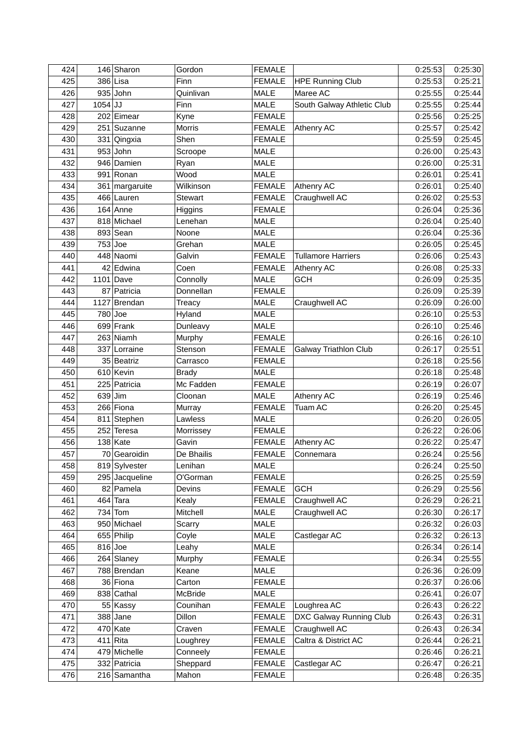| 424 |           | 146 Sharon     | Gordon         | <b>FEMALE</b> |                              | 0:25:53 | 0:25:30 |
|-----|-----------|----------------|----------------|---------------|------------------------------|---------|---------|
| 425 |           | $386$ Lisa     | Finn           | <b>FEMALE</b> | <b>HPE Running Club</b>      | 0:25:53 | 0:25:21 |
| 426 |           | $935$ John     | Quinlivan      | MALE          | Maree AC                     | 0:25:55 | 0:25:44 |
| 427 | $1054$ JJ |                | Finn           | <b>MALE</b>   | South Galway Athletic Club   | 0:25:55 | 0:25:44 |
| 428 |           | 202 Eimear     | Kyne           | <b>FEMALE</b> |                              | 0:25:56 | 0:25:25 |
| 429 |           | 251 Suzanne    | Morris         | <b>FEMALE</b> | Athenry AC                   | 0:25:57 | 0:25:42 |
| 430 |           | 331 Qingxia    | Shen           | <b>FEMALE</b> |                              | 0:25:59 | 0:25:45 |
| 431 |           | $953$ John     | Scroope        | MALE          |                              | 0:26:00 | 0:25:43 |
| 432 |           | 946 Damien     | Ryan           | <b>MALE</b>   |                              | 0:26:00 | 0:25:31 |
| 433 |           | 991 Ronan      | Wood           | <b>MALE</b>   |                              | 0:26:01 | 0:25:41 |
| 434 |           | 361 margaruite | Wilkinson      | <b>FEMALE</b> | Athenry AC                   | 0:26:01 | 0:25:40 |
| 435 |           | 466 Lauren     | <b>Stewart</b> | <b>FEMALE</b> | Craughwell AC                | 0:26:02 | 0:25:53 |
| 436 |           | $164$ Anne     | Higgins        | <b>FEMALE</b> |                              | 0:26:04 | 0:25:36 |
| 437 |           | 818 Michael    | Lenehan        | MALE          |                              | 0:26:04 | 0:25:40 |
| 438 |           | $893$ Sean     | Noone          | MALE          |                              | 0:26:04 | 0:25:36 |
| 439 |           | $753$ Joe      | Grehan         | <b>MALE</b>   |                              | 0:26:05 | 0:25:45 |
| 440 |           | 448 Naomi      | Galvin         | <b>FEMALE</b> | <b>Tullamore Harriers</b>    | 0:26:06 | 0:25:43 |
| 441 |           | 42 Edwina      | Coen           |               |                              |         | 0:25:33 |
|     |           |                |                | <b>FEMALE</b> | Athenry AC<br><b>GCH</b>     | 0:26:08 |         |
| 442 |           | $1101$ Dave    | Connolly       | <b>MALE</b>   |                              | 0:26:09 | 0:25:35 |
| 443 |           | 87 Patricia    | Donnellan      | <b>FEMALE</b> |                              | 0:26:09 | 0:25:39 |
| 444 |           | 1127 Brendan   | Treacy         | MALE          | Craughwell AC                | 0:26:09 | 0:26:00 |
| 445 |           | $780$ Joe      | Hyland         | <b>MALE</b>   |                              | 0:26:10 | 0:25:53 |
| 446 |           | 699 $ $ Frank  | Dunleavy       | MALE          |                              | 0:26:10 | 0:25:46 |
| 447 |           | 263 Niamh      | Murphy         | <b>FEMALE</b> |                              | 0:26:16 | 0:26:10 |
| 448 |           | 337 Lorraine   | Stenson        | <b>FEMALE</b> | <b>Galway Triathlon Club</b> | 0:26:17 | 0:25:51 |
| 449 |           | 35 Beatriz     | Carrasco       | <b>FEMALE</b> |                              | 0:26:18 | 0:25:56 |
| 450 |           | $610$ Kevin    | <b>Brady</b>   | <b>MALE</b>   |                              | 0:26:18 | 0:25:48 |
| 451 |           | 225 Patricia   | Mc Fadden      | <b>FEMALE</b> |                              | 0:26:19 | 0:26:07 |
| 452 |           | $639$ Jim      | Cloonan        | MALE          | Athenry AC                   | 0:26:19 | 0:25:46 |
| 453 |           | 266 Fiona      | Murray         | <b>FEMALE</b> | Tuam AC                      | 0:26:20 | 0:25:45 |
| 454 |           | 811 Stephen    | Lawless        | MALE          |                              | 0:26:20 | 0:26:05 |
| 455 |           | 252 Teresa     | Morrissey      | <b>FEMALE</b> |                              | 0:26:22 | 0:26:06 |
| 456 |           | $138$ Kate     | Gavin          | <b>FEMALE</b> | Athenry AC                   | 0:26:22 | 0:25:47 |
| 457 |           | 70 Gearoidin   | De Bhailis     | <b>FEMALE</b> | Connemara                    | 0:26:24 | 0:25:56 |
| 458 |           | 819 Sylvester  | Lenihan        | MALE          |                              | 0:26:24 | 0:25:50 |
| 459 |           | 295 Jacqueline | O'Gorman       | <b>FEMALE</b> |                              | 0:26:25 | 0:25:59 |
| 460 |           | 82 Pamela      | Devins         | <b>FEMALE</b> | <b>GCH</b>                   | 0:26:29 | 0:25:56 |
| 461 |           | $464$ Tara     | Kealy          | <b>FEMALE</b> | Craughwell AC                | 0:26:29 | 0:26:21 |
| 462 |           | $734$ Tom      | Mitchell       | MALE          | Craughwell AC                | 0:26:30 | 0:26:17 |
| 463 |           | 950 Michael    | Scarry         | MALE          |                              | 0:26:32 | 0:26:03 |
| 464 |           | 655 Philip     | Coyle          | MALE          | Castlegar AC                 | 0:26:32 | 0:26:13 |
| 465 |           | $816$ Joe      | Leahy          | MALE          |                              | 0:26:34 | 0:26:14 |
| 466 |           | $264$ Slaney   | Murphy         | <b>FEMALE</b> |                              | 0:26:34 | 0:25:55 |
| 467 |           | 788 Brendan    | Keane          | <b>MALE</b>   |                              | 0:26:36 | 0:26:09 |
| 468 |           | 36 Fiona       | Carton         | <b>FEMALE</b> |                              | 0:26:37 | 0:26:06 |
| 469 |           | 838 Cathal     | McBride        | MALE          |                              | 0:26:41 | 0:26:07 |
| 470 |           | 55 Kassy       | Counihan       | <b>FEMALE</b> | Loughrea AC                  | 0:26:43 | 0:26:22 |
| 471 |           | $388$ Jane     | Dillon         | <b>FEMALE</b> | DXC Galway Running Club      | 0:26:43 | 0:26:31 |
| 472 |           | $470$ Kate     | Craven         | <b>FEMALE</b> | Craughwell AC                | 0:26:43 | 0:26:34 |
| 473 |           | $411$ Rita     | Loughrey       | <b>FEMALE</b> | Caltra & District AC         | 0:26:44 | 0:26:21 |
| 474 |           | 479 Michelle   | Conneely       | <b>FEMALE</b> |                              | 0:26:46 | 0:26:21 |
| 475 |           | 332 Patricia   | Sheppard       | <b>FEMALE</b> | Castlegar AC                 | 0:26:47 | 0:26:21 |
| 476 |           | 216 Samantha   | Mahon          | <b>FEMALE</b> |                              | 0:26:48 | 0:26:35 |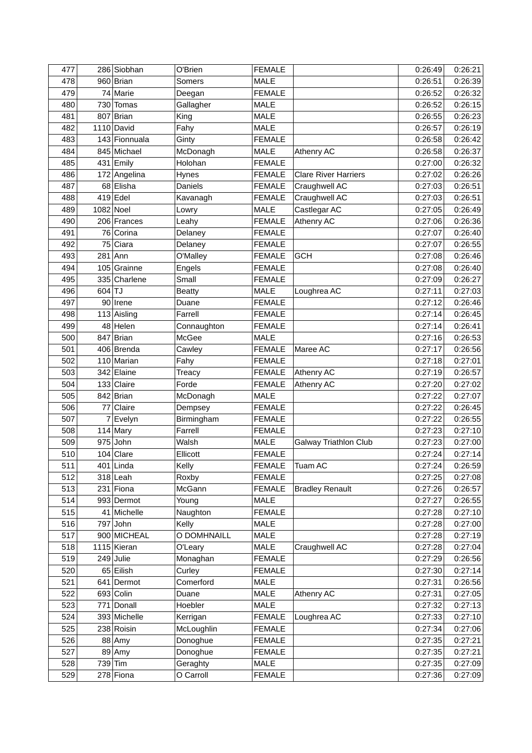| 960 Brian<br>0:26:39<br>478<br>Somers<br><b>MALE</b><br>0:26:51<br>479<br>74 Marie<br>0:26:32<br><b>FEMALE</b><br>0:26:52<br>Deegan<br><b>MALE</b><br>0:26:15<br>480<br>730 Tomas<br>Gallagher<br>0:26:52<br>807 Brian<br>0:26:23<br>481<br>King<br><b>MALE</b><br>0:26:55<br>482<br>$1110$ David<br>Fahy<br>0:26:19<br><b>MALE</b><br>0:26:57<br>483<br>143 Fionnuala<br>Ginty<br><b>FEMALE</b><br>0:26:42<br>0:26:58<br>484<br>845 Michael<br>0:26:37<br>McDonagh<br><b>MALE</b><br>Athenry AC<br>0:26:58<br>$431$ Emily<br>0:26:32<br>485<br><b>FEMALE</b><br>0:27:00<br>Holohan<br>0:26:26<br>486<br>172 Angelina<br><b>FEMALE</b><br>0:27:02<br>Hynes<br><b>Clare River Harriers</b><br>0:26:51<br>68 Elisha<br>487<br>Daniels<br><b>FEMALE</b><br>Craughwell AC<br>0:27:03<br>$419$ Edel<br>0:26:51<br>488<br><b>FEMALE</b><br>Craughwell AC<br>0:27:03<br>Kavanagh<br>$1082$ Noel<br>Castlegar AC<br>489<br><b>MALE</b><br>0:26:49<br>0:27:05<br>Lowry<br>490<br>Athenry AC<br>0:26:36<br>206 Frances<br><b>FEMALE</b><br>0:27:06<br>Leahy<br>491<br>0:26:40<br>76 Corina<br>0:27:07<br>Delaney<br><b>FEMALE</b><br>75 Ciara<br>0:26:55<br>492<br>Delaney<br><b>FEMALE</b><br>0:27:07<br>493<br>$281$ Ann<br><b>GCH</b><br>0:26:46<br>O'Malley<br>0:27:08<br><b>FEMALE</b><br>0:26:40<br>494<br>105 Grainne<br>Engels<br><b>FEMALE</b><br>0:27:08<br>495<br>335 Charlene<br>Small<br><b>FEMALE</b><br>0:26:27<br>0:27:09<br>496<br>$604$ TJ<br>0:27:03<br><b>MALE</b><br>Loughrea AC<br>0:27:11<br><b>Beatty</b><br>0:26:46<br>497<br>90 Irene<br>0:27:12<br>Duane<br><b>FEMALE</b><br>$113$ Aisling<br>0:26:45<br>498<br>Farrell<br><b>FEMALE</b><br>0:27:14<br>0:26:41<br>499<br>48 Helen<br>0:27:14<br>Connaughton<br><b>FEMALE</b><br>847 Brian<br>500<br>0:26:53<br>McGee<br><b>MALE</b><br>0:27:16<br>501<br>406 Brenda<br>0:26:56<br><b>FEMALE</b><br>Maree AC<br>0:27:17<br>Cawley<br>502<br>110 Marian<br><b>FEMALE</b><br>0:27:01<br>Fahy<br>0:27:18<br>0:26:57<br>503<br>342 Elaine<br><b>FEMALE</b><br>Athenry AC<br>0:27:19<br>Treacy<br>504<br>$133$ Claire<br>Forde<br>Athenry AC<br>0:27:02<br><b>FEMALE</b><br>0:27:20<br>842 Brian<br>505<br>0:27:22<br>0:27:07<br>McDonagh<br>MALE<br>506<br>77 Claire<br>0:26:45<br><b>FEMALE</b><br>0:27:22<br>Dempsey<br>507<br><b>FEMALE</b><br>0:27:22<br>0:26:55<br>7<br>Evelyn<br>Birmingham<br>508<br>Farrell<br>0:27:10<br>$114$ Mary<br><b>FEMALE</b><br>0:27:23<br>$975$ John<br>0:27:00<br>509<br>Walsh<br><b>MALE</b><br>0:27:23<br>Galway Triathlon Club<br>0:27:14<br>$104$ Clare<br><b>FEMALE</b><br>510<br>Ellicott<br>0:27:24<br>511<br>$401$ Linda<br>Kelly<br>0:27:24<br>FEMALE<br>Tuam AC<br>512<br>$318$  Leah<br>0:27:08<br>Roxby<br><b>FEMALE</b><br>0:27:25<br>513<br>$231$ Fiona<br>McGann<br><b>FEMALE</b><br><b>Bradley Renault</b><br>0:27:26<br>514<br>993 Dermot<br>MALE<br>0:27:27<br>0:26:55<br>Young<br>515<br>41 Michelle<br>Naughton<br><b>FEMALE</b><br>0:27:28<br>$797$ John<br><b>MALE</b><br>0:27:28<br>0:27:00<br>516<br>Kelly<br>517<br>O DOMHNAILL<br>0:27:19<br>900 MICHEAL<br>MALE<br>0:27:28<br>518<br>$1115$ Kieran<br>MALE<br>Craughwell AC<br>0:27:28<br>0:27:04<br>O'Leary<br>519<br>$249$ Julie<br>Monaghan<br><b>FEMALE</b><br>0:27:29<br>520<br>0:27:14<br>65 Eilish<br><b>FEMALE</b><br>0:27:30<br>Curley<br>521<br>Comerford<br>641 Dermot<br>MALE<br>0:27:31<br>522<br>693 Colin<br>MALE<br><b>Athenry AC</b><br>0:27:31<br>Duane<br>523<br>771 Donall<br>Hoebler<br>MALE<br>0:27:32<br>524<br>393 Michelle<br><b>FEMALE</b><br>Loughrea AC<br>0:27:33<br>0:27:10<br>Kerrigan<br>525<br>238 Roisin<br>McLoughlin<br><b>FEMALE</b><br>0:27:34<br>526<br>88 Amy<br>Donoghue<br><b>FEMALE</b><br>0:27:35<br>0:27:21<br>527<br>Donoghue<br>0:27:21<br>$89$ Amy<br><b>FEMALE</b><br>0:27:35<br>528<br>$739$ Tim<br>Geraghty<br>MALE<br>0:27:35<br>529<br>$278$ Fiona<br>O Carroll<br><b>FEMALE</b><br>0:27:36 | 477 | 286 Siobhan | O'Brien | <b>FEMALE</b> | 0:26:49 | 0:26:21 |
|----------------------------------------------------------------------------------------------------------------------------------------------------------------------------------------------------------------------------------------------------------------------------------------------------------------------------------------------------------------------------------------------------------------------------------------------------------------------------------------------------------------------------------------------------------------------------------------------------------------------------------------------------------------------------------------------------------------------------------------------------------------------------------------------------------------------------------------------------------------------------------------------------------------------------------------------------------------------------------------------------------------------------------------------------------------------------------------------------------------------------------------------------------------------------------------------------------------------------------------------------------------------------------------------------------------------------------------------------------------------------------------------------------------------------------------------------------------------------------------------------------------------------------------------------------------------------------------------------------------------------------------------------------------------------------------------------------------------------------------------------------------------------------------------------------------------------------------------------------------------------------------------------------------------------------------------------------------------------------------------------------------------------------------------------------------------------------------------------------------------------------------------------------------------------------------------------------------------------------------------------------------------------------------------------------------------------------------------------------------------------------------------------------------------------------------------------------------------------------------------------------------------------------------------------------------------------------------------------------------------------------------------------------------------------------------------------------------------------------------------------------------------------------------------------------------------------------------------------------------------------------------------------------------------------------------------------------------------------------------------------------------------------------------------------------------------------------------------------------------------------------------------------------------------------------------------------------------------------------------------------------------------------------------------------------------------------------------------------------------------------------------------------------------------------------------------------------------------------------------------------------------------------------------------------------------------------------------------------------------------------------------------------------------------------------------------------------------------------------------------------------------------------------------------------------------------------------------------------------------------------------------------------------------------------|-----|-------------|---------|---------------|---------|---------|
|                                                                                                                                                                                                                                                                                                                                                                                                                                                                                                                                                                                                                                                                                                                                                                                                                                                                                                                                                                                                                                                                                                                                                                                                                                                                                                                                                                                                                                                                                                                                                                                                                                                                                                                                                                                                                                                                                                                                                                                                                                                                                                                                                                                                                                                                                                                                                                                                                                                                                                                                                                                                                                                                                                                                                                                                                                                                                                                                                                                                                                                                                                                                                                                                                                                                                                                                                                                                                                                                                                                                                                                                                                                                                                                                                                                                                                                                                                                            |     |             |         |               |         |         |
|                                                                                                                                                                                                                                                                                                                                                                                                                                                                                                                                                                                                                                                                                                                                                                                                                                                                                                                                                                                                                                                                                                                                                                                                                                                                                                                                                                                                                                                                                                                                                                                                                                                                                                                                                                                                                                                                                                                                                                                                                                                                                                                                                                                                                                                                                                                                                                                                                                                                                                                                                                                                                                                                                                                                                                                                                                                                                                                                                                                                                                                                                                                                                                                                                                                                                                                                                                                                                                                                                                                                                                                                                                                                                                                                                                                                                                                                                                                            |     |             |         |               |         |         |
| 0:26:59<br>0:26:57<br>0:27:10<br>0:26:56<br>0:26:56<br>0:27:05<br>0:27:13<br>0:27:06<br>0:27:09                                                                                                                                                                                                                                                                                                                                                                                                                                                                                                                                                                                                                                                                                                                                                                                                                                                                                                                                                                                                                                                                                                                                                                                                                                                                                                                                                                                                                                                                                                                                                                                                                                                                                                                                                                                                                                                                                                                                                                                                                                                                                                                                                                                                                                                                                                                                                                                                                                                                                                                                                                                                                                                                                                                                                                                                                                                                                                                                                                                                                                                                                                                                                                                                                                                                                                                                                                                                                                                                                                                                                                                                                                                                                                                                                                                                                            |     |             |         |               |         |         |
|                                                                                                                                                                                                                                                                                                                                                                                                                                                                                                                                                                                                                                                                                                                                                                                                                                                                                                                                                                                                                                                                                                                                                                                                                                                                                                                                                                                                                                                                                                                                                                                                                                                                                                                                                                                                                                                                                                                                                                                                                                                                                                                                                                                                                                                                                                                                                                                                                                                                                                                                                                                                                                                                                                                                                                                                                                                                                                                                                                                                                                                                                                                                                                                                                                                                                                                                                                                                                                                                                                                                                                                                                                                                                                                                                                                                                                                                                                                            |     |             |         |               |         |         |
|                                                                                                                                                                                                                                                                                                                                                                                                                                                                                                                                                                                                                                                                                                                                                                                                                                                                                                                                                                                                                                                                                                                                                                                                                                                                                                                                                                                                                                                                                                                                                                                                                                                                                                                                                                                                                                                                                                                                                                                                                                                                                                                                                                                                                                                                                                                                                                                                                                                                                                                                                                                                                                                                                                                                                                                                                                                                                                                                                                                                                                                                                                                                                                                                                                                                                                                                                                                                                                                                                                                                                                                                                                                                                                                                                                                                                                                                                                                            |     |             |         |               |         |         |
|                                                                                                                                                                                                                                                                                                                                                                                                                                                                                                                                                                                                                                                                                                                                                                                                                                                                                                                                                                                                                                                                                                                                                                                                                                                                                                                                                                                                                                                                                                                                                                                                                                                                                                                                                                                                                                                                                                                                                                                                                                                                                                                                                                                                                                                                                                                                                                                                                                                                                                                                                                                                                                                                                                                                                                                                                                                                                                                                                                                                                                                                                                                                                                                                                                                                                                                                                                                                                                                                                                                                                                                                                                                                                                                                                                                                                                                                                                                            |     |             |         |               |         |         |
|                                                                                                                                                                                                                                                                                                                                                                                                                                                                                                                                                                                                                                                                                                                                                                                                                                                                                                                                                                                                                                                                                                                                                                                                                                                                                                                                                                                                                                                                                                                                                                                                                                                                                                                                                                                                                                                                                                                                                                                                                                                                                                                                                                                                                                                                                                                                                                                                                                                                                                                                                                                                                                                                                                                                                                                                                                                                                                                                                                                                                                                                                                                                                                                                                                                                                                                                                                                                                                                                                                                                                                                                                                                                                                                                                                                                                                                                                                                            |     |             |         |               |         |         |
|                                                                                                                                                                                                                                                                                                                                                                                                                                                                                                                                                                                                                                                                                                                                                                                                                                                                                                                                                                                                                                                                                                                                                                                                                                                                                                                                                                                                                                                                                                                                                                                                                                                                                                                                                                                                                                                                                                                                                                                                                                                                                                                                                                                                                                                                                                                                                                                                                                                                                                                                                                                                                                                                                                                                                                                                                                                                                                                                                                                                                                                                                                                                                                                                                                                                                                                                                                                                                                                                                                                                                                                                                                                                                                                                                                                                                                                                                                                            |     |             |         |               |         |         |
|                                                                                                                                                                                                                                                                                                                                                                                                                                                                                                                                                                                                                                                                                                                                                                                                                                                                                                                                                                                                                                                                                                                                                                                                                                                                                                                                                                                                                                                                                                                                                                                                                                                                                                                                                                                                                                                                                                                                                                                                                                                                                                                                                                                                                                                                                                                                                                                                                                                                                                                                                                                                                                                                                                                                                                                                                                                                                                                                                                                                                                                                                                                                                                                                                                                                                                                                                                                                                                                                                                                                                                                                                                                                                                                                                                                                                                                                                                                            |     |             |         |               |         |         |
|                                                                                                                                                                                                                                                                                                                                                                                                                                                                                                                                                                                                                                                                                                                                                                                                                                                                                                                                                                                                                                                                                                                                                                                                                                                                                                                                                                                                                                                                                                                                                                                                                                                                                                                                                                                                                                                                                                                                                                                                                                                                                                                                                                                                                                                                                                                                                                                                                                                                                                                                                                                                                                                                                                                                                                                                                                                                                                                                                                                                                                                                                                                                                                                                                                                                                                                                                                                                                                                                                                                                                                                                                                                                                                                                                                                                                                                                                                                            |     |             |         |               |         |         |
|                                                                                                                                                                                                                                                                                                                                                                                                                                                                                                                                                                                                                                                                                                                                                                                                                                                                                                                                                                                                                                                                                                                                                                                                                                                                                                                                                                                                                                                                                                                                                                                                                                                                                                                                                                                                                                                                                                                                                                                                                                                                                                                                                                                                                                                                                                                                                                                                                                                                                                                                                                                                                                                                                                                                                                                                                                                                                                                                                                                                                                                                                                                                                                                                                                                                                                                                                                                                                                                                                                                                                                                                                                                                                                                                                                                                                                                                                                                            |     |             |         |               |         |         |
|                                                                                                                                                                                                                                                                                                                                                                                                                                                                                                                                                                                                                                                                                                                                                                                                                                                                                                                                                                                                                                                                                                                                                                                                                                                                                                                                                                                                                                                                                                                                                                                                                                                                                                                                                                                                                                                                                                                                                                                                                                                                                                                                                                                                                                                                                                                                                                                                                                                                                                                                                                                                                                                                                                                                                                                                                                                                                                                                                                                                                                                                                                                                                                                                                                                                                                                                                                                                                                                                                                                                                                                                                                                                                                                                                                                                                                                                                                                            |     |             |         |               |         |         |
|                                                                                                                                                                                                                                                                                                                                                                                                                                                                                                                                                                                                                                                                                                                                                                                                                                                                                                                                                                                                                                                                                                                                                                                                                                                                                                                                                                                                                                                                                                                                                                                                                                                                                                                                                                                                                                                                                                                                                                                                                                                                                                                                                                                                                                                                                                                                                                                                                                                                                                                                                                                                                                                                                                                                                                                                                                                                                                                                                                                                                                                                                                                                                                                                                                                                                                                                                                                                                                                                                                                                                                                                                                                                                                                                                                                                                                                                                                                            |     |             |         |               |         |         |
|                                                                                                                                                                                                                                                                                                                                                                                                                                                                                                                                                                                                                                                                                                                                                                                                                                                                                                                                                                                                                                                                                                                                                                                                                                                                                                                                                                                                                                                                                                                                                                                                                                                                                                                                                                                                                                                                                                                                                                                                                                                                                                                                                                                                                                                                                                                                                                                                                                                                                                                                                                                                                                                                                                                                                                                                                                                                                                                                                                                                                                                                                                                                                                                                                                                                                                                                                                                                                                                                                                                                                                                                                                                                                                                                                                                                                                                                                                                            |     |             |         |               |         |         |
|                                                                                                                                                                                                                                                                                                                                                                                                                                                                                                                                                                                                                                                                                                                                                                                                                                                                                                                                                                                                                                                                                                                                                                                                                                                                                                                                                                                                                                                                                                                                                                                                                                                                                                                                                                                                                                                                                                                                                                                                                                                                                                                                                                                                                                                                                                                                                                                                                                                                                                                                                                                                                                                                                                                                                                                                                                                                                                                                                                                                                                                                                                                                                                                                                                                                                                                                                                                                                                                                                                                                                                                                                                                                                                                                                                                                                                                                                                                            |     |             |         |               |         |         |
|                                                                                                                                                                                                                                                                                                                                                                                                                                                                                                                                                                                                                                                                                                                                                                                                                                                                                                                                                                                                                                                                                                                                                                                                                                                                                                                                                                                                                                                                                                                                                                                                                                                                                                                                                                                                                                                                                                                                                                                                                                                                                                                                                                                                                                                                                                                                                                                                                                                                                                                                                                                                                                                                                                                                                                                                                                                                                                                                                                                                                                                                                                                                                                                                                                                                                                                                                                                                                                                                                                                                                                                                                                                                                                                                                                                                                                                                                                                            |     |             |         |               |         |         |
|                                                                                                                                                                                                                                                                                                                                                                                                                                                                                                                                                                                                                                                                                                                                                                                                                                                                                                                                                                                                                                                                                                                                                                                                                                                                                                                                                                                                                                                                                                                                                                                                                                                                                                                                                                                                                                                                                                                                                                                                                                                                                                                                                                                                                                                                                                                                                                                                                                                                                                                                                                                                                                                                                                                                                                                                                                                                                                                                                                                                                                                                                                                                                                                                                                                                                                                                                                                                                                                                                                                                                                                                                                                                                                                                                                                                                                                                                                                            |     |             |         |               |         |         |
|                                                                                                                                                                                                                                                                                                                                                                                                                                                                                                                                                                                                                                                                                                                                                                                                                                                                                                                                                                                                                                                                                                                                                                                                                                                                                                                                                                                                                                                                                                                                                                                                                                                                                                                                                                                                                                                                                                                                                                                                                                                                                                                                                                                                                                                                                                                                                                                                                                                                                                                                                                                                                                                                                                                                                                                                                                                                                                                                                                                                                                                                                                                                                                                                                                                                                                                                                                                                                                                                                                                                                                                                                                                                                                                                                                                                                                                                                                                            |     |             |         |               |         |         |
|                                                                                                                                                                                                                                                                                                                                                                                                                                                                                                                                                                                                                                                                                                                                                                                                                                                                                                                                                                                                                                                                                                                                                                                                                                                                                                                                                                                                                                                                                                                                                                                                                                                                                                                                                                                                                                                                                                                                                                                                                                                                                                                                                                                                                                                                                                                                                                                                                                                                                                                                                                                                                                                                                                                                                                                                                                                                                                                                                                                                                                                                                                                                                                                                                                                                                                                                                                                                                                                                                                                                                                                                                                                                                                                                                                                                                                                                                                                            |     |             |         |               |         |         |
|                                                                                                                                                                                                                                                                                                                                                                                                                                                                                                                                                                                                                                                                                                                                                                                                                                                                                                                                                                                                                                                                                                                                                                                                                                                                                                                                                                                                                                                                                                                                                                                                                                                                                                                                                                                                                                                                                                                                                                                                                                                                                                                                                                                                                                                                                                                                                                                                                                                                                                                                                                                                                                                                                                                                                                                                                                                                                                                                                                                                                                                                                                                                                                                                                                                                                                                                                                                                                                                                                                                                                                                                                                                                                                                                                                                                                                                                                                                            |     |             |         |               |         |         |
|                                                                                                                                                                                                                                                                                                                                                                                                                                                                                                                                                                                                                                                                                                                                                                                                                                                                                                                                                                                                                                                                                                                                                                                                                                                                                                                                                                                                                                                                                                                                                                                                                                                                                                                                                                                                                                                                                                                                                                                                                                                                                                                                                                                                                                                                                                                                                                                                                                                                                                                                                                                                                                                                                                                                                                                                                                                                                                                                                                                                                                                                                                                                                                                                                                                                                                                                                                                                                                                                                                                                                                                                                                                                                                                                                                                                                                                                                                                            |     |             |         |               |         |         |
|                                                                                                                                                                                                                                                                                                                                                                                                                                                                                                                                                                                                                                                                                                                                                                                                                                                                                                                                                                                                                                                                                                                                                                                                                                                                                                                                                                                                                                                                                                                                                                                                                                                                                                                                                                                                                                                                                                                                                                                                                                                                                                                                                                                                                                                                                                                                                                                                                                                                                                                                                                                                                                                                                                                                                                                                                                                                                                                                                                                                                                                                                                                                                                                                                                                                                                                                                                                                                                                                                                                                                                                                                                                                                                                                                                                                                                                                                                                            |     |             |         |               |         |         |
|                                                                                                                                                                                                                                                                                                                                                                                                                                                                                                                                                                                                                                                                                                                                                                                                                                                                                                                                                                                                                                                                                                                                                                                                                                                                                                                                                                                                                                                                                                                                                                                                                                                                                                                                                                                                                                                                                                                                                                                                                                                                                                                                                                                                                                                                                                                                                                                                                                                                                                                                                                                                                                                                                                                                                                                                                                                                                                                                                                                                                                                                                                                                                                                                                                                                                                                                                                                                                                                                                                                                                                                                                                                                                                                                                                                                                                                                                                                            |     |             |         |               |         |         |
| 0:27:09                                                                                                                                                                                                                                                                                                                                                                                                                                                                                                                                                                                                                                                                                                                                                                                                                                                                                                                                                                                                                                                                                                                                                                                                                                                                                                                                                                                                                                                                                                                                                                                                                                                                                                                                                                                                                                                                                                                                                                                                                                                                                                                                                                                                                                                                                                                                                                                                                                                                                                                                                                                                                                                                                                                                                                                                                                                                                                                                                                                                                                                                                                                                                                                                                                                                                                                                                                                                                                                                                                                                                                                                                                                                                                                                                                                                                                                                                                                    |     |             |         |               |         |         |
|                                                                                                                                                                                                                                                                                                                                                                                                                                                                                                                                                                                                                                                                                                                                                                                                                                                                                                                                                                                                                                                                                                                                                                                                                                                                                                                                                                                                                                                                                                                                                                                                                                                                                                                                                                                                                                                                                                                                                                                                                                                                                                                                                                                                                                                                                                                                                                                                                                                                                                                                                                                                                                                                                                                                                                                                                                                                                                                                                                                                                                                                                                                                                                                                                                                                                                                                                                                                                                                                                                                                                                                                                                                                                                                                                                                                                                                                                                                            |     |             |         |               |         |         |
|                                                                                                                                                                                                                                                                                                                                                                                                                                                                                                                                                                                                                                                                                                                                                                                                                                                                                                                                                                                                                                                                                                                                                                                                                                                                                                                                                                                                                                                                                                                                                                                                                                                                                                                                                                                                                                                                                                                                                                                                                                                                                                                                                                                                                                                                                                                                                                                                                                                                                                                                                                                                                                                                                                                                                                                                                                                                                                                                                                                                                                                                                                                                                                                                                                                                                                                                                                                                                                                                                                                                                                                                                                                                                                                                                                                                                                                                                                                            |     |             |         |               |         |         |
|                                                                                                                                                                                                                                                                                                                                                                                                                                                                                                                                                                                                                                                                                                                                                                                                                                                                                                                                                                                                                                                                                                                                                                                                                                                                                                                                                                                                                                                                                                                                                                                                                                                                                                                                                                                                                                                                                                                                                                                                                                                                                                                                                                                                                                                                                                                                                                                                                                                                                                                                                                                                                                                                                                                                                                                                                                                                                                                                                                                                                                                                                                                                                                                                                                                                                                                                                                                                                                                                                                                                                                                                                                                                                                                                                                                                                                                                                                                            |     |             |         |               |         |         |
|                                                                                                                                                                                                                                                                                                                                                                                                                                                                                                                                                                                                                                                                                                                                                                                                                                                                                                                                                                                                                                                                                                                                                                                                                                                                                                                                                                                                                                                                                                                                                                                                                                                                                                                                                                                                                                                                                                                                                                                                                                                                                                                                                                                                                                                                                                                                                                                                                                                                                                                                                                                                                                                                                                                                                                                                                                                                                                                                                                                                                                                                                                                                                                                                                                                                                                                                                                                                                                                                                                                                                                                                                                                                                                                                                                                                                                                                                                                            |     |             |         |               |         |         |
|                                                                                                                                                                                                                                                                                                                                                                                                                                                                                                                                                                                                                                                                                                                                                                                                                                                                                                                                                                                                                                                                                                                                                                                                                                                                                                                                                                                                                                                                                                                                                                                                                                                                                                                                                                                                                                                                                                                                                                                                                                                                                                                                                                                                                                                                                                                                                                                                                                                                                                                                                                                                                                                                                                                                                                                                                                                                                                                                                                                                                                                                                                                                                                                                                                                                                                                                                                                                                                                                                                                                                                                                                                                                                                                                                                                                                                                                                                                            |     |             |         |               |         |         |
|                                                                                                                                                                                                                                                                                                                                                                                                                                                                                                                                                                                                                                                                                                                                                                                                                                                                                                                                                                                                                                                                                                                                                                                                                                                                                                                                                                                                                                                                                                                                                                                                                                                                                                                                                                                                                                                                                                                                                                                                                                                                                                                                                                                                                                                                                                                                                                                                                                                                                                                                                                                                                                                                                                                                                                                                                                                                                                                                                                                                                                                                                                                                                                                                                                                                                                                                                                                                                                                                                                                                                                                                                                                                                                                                                                                                                                                                                                                            |     |             |         |               |         |         |
|                                                                                                                                                                                                                                                                                                                                                                                                                                                                                                                                                                                                                                                                                                                                                                                                                                                                                                                                                                                                                                                                                                                                                                                                                                                                                                                                                                                                                                                                                                                                                                                                                                                                                                                                                                                                                                                                                                                                                                                                                                                                                                                                                                                                                                                                                                                                                                                                                                                                                                                                                                                                                                                                                                                                                                                                                                                                                                                                                                                                                                                                                                                                                                                                                                                                                                                                                                                                                                                                                                                                                                                                                                                                                                                                                                                                                                                                                                                            |     |             |         |               |         |         |
|                                                                                                                                                                                                                                                                                                                                                                                                                                                                                                                                                                                                                                                                                                                                                                                                                                                                                                                                                                                                                                                                                                                                                                                                                                                                                                                                                                                                                                                                                                                                                                                                                                                                                                                                                                                                                                                                                                                                                                                                                                                                                                                                                                                                                                                                                                                                                                                                                                                                                                                                                                                                                                                                                                                                                                                                                                                                                                                                                                                                                                                                                                                                                                                                                                                                                                                                                                                                                                                                                                                                                                                                                                                                                                                                                                                                                                                                                                                            |     |             |         |               |         |         |
|                                                                                                                                                                                                                                                                                                                                                                                                                                                                                                                                                                                                                                                                                                                                                                                                                                                                                                                                                                                                                                                                                                                                                                                                                                                                                                                                                                                                                                                                                                                                                                                                                                                                                                                                                                                                                                                                                                                                                                                                                                                                                                                                                                                                                                                                                                                                                                                                                                                                                                                                                                                                                                                                                                                                                                                                                                                                                                                                                                                                                                                                                                                                                                                                                                                                                                                                                                                                                                                                                                                                                                                                                                                                                                                                                                                                                                                                                                                            |     |             |         |               |         |         |
|                                                                                                                                                                                                                                                                                                                                                                                                                                                                                                                                                                                                                                                                                                                                                                                                                                                                                                                                                                                                                                                                                                                                                                                                                                                                                                                                                                                                                                                                                                                                                                                                                                                                                                                                                                                                                                                                                                                                                                                                                                                                                                                                                                                                                                                                                                                                                                                                                                                                                                                                                                                                                                                                                                                                                                                                                                                                                                                                                                                                                                                                                                                                                                                                                                                                                                                                                                                                                                                                                                                                                                                                                                                                                                                                                                                                                                                                                                                            |     |             |         |               |         |         |
|                                                                                                                                                                                                                                                                                                                                                                                                                                                                                                                                                                                                                                                                                                                                                                                                                                                                                                                                                                                                                                                                                                                                                                                                                                                                                                                                                                                                                                                                                                                                                                                                                                                                                                                                                                                                                                                                                                                                                                                                                                                                                                                                                                                                                                                                                                                                                                                                                                                                                                                                                                                                                                                                                                                                                                                                                                                                                                                                                                                                                                                                                                                                                                                                                                                                                                                                                                                                                                                                                                                                                                                                                                                                                                                                                                                                                                                                                                                            |     |             |         |               |         |         |
|                                                                                                                                                                                                                                                                                                                                                                                                                                                                                                                                                                                                                                                                                                                                                                                                                                                                                                                                                                                                                                                                                                                                                                                                                                                                                                                                                                                                                                                                                                                                                                                                                                                                                                                                                                                                                                                                                                                                                                                                                                                                                                                                                                                                                                                                                                                                                                                                                                                                                                                                                                                                                                                                                                                                                                                                                                                                                                                                                                                                                                                                                                                                                                                                                                                                                                                                                                                                                                                                                                                                                                                                                                                                                                                                                                                                                                                                                                                            |     |             |         |               |         |         |
|                                                                                                                                                                                                                                                                                                                                                                                                                                                                                                                                                                                                                                                                                                                                                                                                                                                                                                                                                                                                                                                                                                                                                                                                                                                                                                                                                                                                                                                                                                                                                                                                                                                                                                                                                                                                                                                                                                                                                                                                                                                                                                                                                                                                                                                                                                                                                                                                                                                                                                                                                                                                                                                                                                                                                                                                                                                                                                                                                                                                                                                                                                                                                                                                                                                                                                                                                                                                                                                                                                                                                                                                                                                                                                                                                                                                                                                                                                                            |     |             |         |               |         |         |
|                                                                                                                                                                                                                                                                                                                                                                                                                                                                                                                                                                                                                                                                                                                                                                                                                                                                                                                                                                                                                                                                                                                                                                                                                                                                                                                                                                                                                                                                                                                                                                                                                                                                                                                                                                                                                                                                                                                                                                                                                                                                                                                                                                                                                                                                                                                                                                                                                                                                                                                                                                                                                                                                                                                                                                                                                                                                                                                                                                                                                                                                                                                                                                                                                                                                                                                                                                                                                                                                                                                                                                                                                                                                                                                                                                                                                                                                                                                            |     |             |         |               |         |         |
|                                                                                                                                                                                                                                                                                                                                                                                                                                                                                                                                                                                                                                                                                                                                                                                                                                                                                                                                                                                                                                                                                                                                                                                                                                                                                                                                                                                                                                                                                                                                                                                                                                                                                                                                                                                                                                                                                                                                                                                                                                                                                                                                                                                                                                                                                                                                                                                                                                                                                                                                                                                                                                                                                                                                                                                                                                                                                                                                                                                                                                                                                                                                                                                                                                                                                                                                                                                                                                                                                                                                                                                                                                                                                                                                                                                                                                                                                                                            |     |             |         |               |         |         |
|                                                                                                                                                                                                                                                                                                                                                                                                                                                                                                                                                                                                                                                                                                                                                                                                                                                                                                                                                                                                                                                                                                                                                                                                                                                                                                                                                                                                                                                                                                                                                                                                                                                                                                                                                                                                                                                                                                                                                                                                                                                                                                                                                                                                                                                                                                                                                                                                                                                                                                                                                                                                                                                                                                                                                                                                                                                                                                                                                                                                                                                                                                                                                                                                                                                                                                                                                                                                                                                                                                                                                                                                                                                                                                                                                                                                                                                                                                                            |     |             |         |               |         |         |
|                                                                                                                                                                                                                                                                                                                                                                                                                                                                                                                                                                                                                                                                                                                                                                                                                                                                                                                                                                                                                                                                                                                                                                                                                                                                                                                                                                                                                                                                                                                                                                                                                                                                                                                                                                                                                                                                                                                                                                                                                                                                                                                                                                                                                                                                                                                                                                                                                                                                                                                                                                                                                                                                                                                                                                                                                                                                                                                                                                                                                                                                                                                                                                                                                                                                                                                                                                                                                                                                                                                                                                                                                                                                                                                                                                                                                                                                                                                            |     |             |         |               |         |         |
|                                                                                                                                                                                                                                                                                                                                                                                                                                                                                                                                                                                                                                                                                                                                                                                                                                                                                                                                                                                                                                                                                                                                                                                                                                                                                                                                                                                                                                                                                                                                                                                                                                                                                                                                                                                                                                                                                                                                                                                                                                                                                                                                                                                                                                                                                                                                                                                                                                                                                                                                                                                                                                                                                                                                                                                                                                                                                                                                                                                                                                                                                                                                                                                                                                                                                                                                                                                                                                                                                                                                                                                                                                                                                                                                                                                                                                                                                                                            |     |             |         |               |         |         |
|                                                                                                                                                                                                                                                                                                                                                                                                                                                                                                                                                                                                                                                                                                                                                                                                                                                                                                                                                                                                                                                                                                                                                                                                                                                                                                                                                                                                                                                                                                                                                                                                                                                                                                                                                                                                                                                                                                                                                                                                                                                                                                                                                                                                                                                                                                                                                                                                                                                                                                                                                                                                                                                                                                                                                                                                                                                                                                                                                                                                                                                                                                                                                                                                                                                                                                                                                                                                                                                                                                                                                                                                                                                                                                                                                                                                                                                                                                                            |     |             |         |               |         |         |
|                                                                                                                                                                                                                                                                                                                                                                                                                                                                                                                                                                                                                                                                                                                                                                                                                                                                                                                                                                                                                                                                                                                                                                                                                                                                                                                                                                                                                                                                                                                                                                                                                                                                                                                                                                                                                                                                                                                                                                                                                                                                                                                                                                                                                                                                                                                                                                                                                                                                                                                                                                                                                                                                                                                                                                                                                                                                                                                                                                                                                                                                                                                                                                                                                                                                                                                                                                                                                                                                                                                                                                                                                                                                                                                                                                                                                                                                                                                            |     |             |         |               |         |         |
|                                                                                                                                                                                                                                                                                                                                                                                                                                                                                                                                                                                                                                                                                                                                                                                                                                                                                                                                                                                                                                                                                                                                                                                                                                                                                                                                                                                                                                                                                                                                                                                                                                                                                                                                                                                                                                                                                                                                                                                                                                                                                                                                                                                                                                                                                                                                                                                                                                                                                                                                                                                                                                                                                                                                                                                                                                                                                                                                                                                                                                                                                                                                                                                                                                                                                                                                                                                                                                                                                                                                                                                                                                                                                                                                                                                                                                                                                                                            |     |             |         |               |         |         |
|                                                                                                                                                                                                                                                                                                                                                                                                                                                                                                                                                                                                                                                                                                                                                                                                                                                                                                                                                                                                                                                                                                                                                                                                                                                                                                                                                                                                                                                                                                                                                                                                                                                                                                                                                                                                                                                                                                                                                                                                                                                                                                                                                                                                                                                                                                                                                                                                                                                                                                                                                                                                                                                                                                                                                                                                                                                                                                                                                                                                                                                                                                                                                                                                                                                                                                                                                                                                                                                                                                                                                                                                                                                                                                                                                                                                                                                                                                                            |     |             |         |               |         |         |
|                                                                                                                                                                                                                                                                                                                                                                                                                                                                                                                                                                                                                                                                                                                                                                                                                                                                                                                                                                                                                                                                                                                                                                                                                                                                                                                                                                                                                                                                                                                                                                                                                                                                                                                                                                                                                                                                                                                                                                                                                                                                                                                                                                                                                                                                                                                                                                                                                                                                                                                                                                                                                                                                                                                                                                                                                                                                                                                                                                                                                                                                                                                                                                                                                                                                                                                                                                                                                                                                                                                                                                                                                                                                                                                                                                                                                                                                                                                            |     |             |         |               |         |         |
|                                                                                                                                                                                                                                                                                                                                                                                                                                                                                                                                                                                                                                                                                                                                                                                                                                                                                                                                                                                                                                                                                                                                                                                                                                                                                                                                                                                                                                                                                                                                                                                                                                                                                                                                                                                                                                                                                                                                                                                                                                                                                                                                                                                                                                                                                                                                                                                                                                                                                                                                                                                                                                                                                                                                                                                                                                                                                                                                                                                                                                                                                                                                                                                                                                                                                                                                                                                                                                                                                                                                                                                                                                                                                                                                                                                                                                                                                                                            |     |             |         |               |         |         |
|                                                                                                                                                                                                                                                                                                                                                                                                                                                                                                                                                                                                                                                                                                                                                                                                                                                                                                                                                                                                                                                                                                                                                                                                                                                                                                                                                                                                                                                                                                                                                                                                                                                                                                                                                                                                                                                                                                                                                                                                                                                                                                                                                                                                                                                                                                                                                                                                                                                                                                                                                                                                                                                                                                                                                                                                                                                                                                                                                                                                                                                                                                                                                                                                                                                                                                                                                                                                                                                                                                                                                                                                                                                                                                                                                                                                                                                                                                                            |     |             |         |               |         |         |
|                                                                                                                                                                                                                                                                                                                                                                                                                                                                                                                                                                                                                                                                                                                                                                                                                                                                                                                                                                                                                                                                                                                                                                                                                                                                                                                                                                                                                                                                                                                                                                                                                                                                                                                                                                                                                                                                                                                                                                                                                                                                                                                                                                                                                                                                                                                                                                                                                                                                                                                                                                                                                                                                                                                                                                                                                                                                                                                                                                                                                                                                                                                                                                                                                                                                                                                                                                                                                                                                                                                                                                                                                                                                                                                                                                                                                                                                                                                            |     |             |         |               |         |         |
|                                                                                                                                                                                                                                                                                                                                                                                                                                                                                                                                                                                                                                                                                                                                                                                                                                                                                                                                                                                                                                                                                                                                                                                                                                                                                                                                                                                                                                                                                                                                                                                                                                                                                                                                                                                                                                                                                                                                                                                                                                                                                                                                                                                                                                                                                                                                                                                                                                                                                                                                                                                                                                                                                                                                                                                                                                                                                                                                                                                                                                                                                                                                                                                                                                                                                                                                                                                                                                                                                                                                                                                                                                                                                                                                                                                                                                                                                                                            |     |             |         |               |         |         |
|                                                                                                                                                                                                                                                                                                                                                                                                                                                                                                                                                                                                                                                                                                                                                                                                                                                                                                                                                                                                                                                                                                                                                                                                                                                                                                                                                                                                                                                                                                                                                                                                                                                                                                                                                                                                                                                                                                                                                                                                                                                                                                                                                                                                                                                                                                                                                                                                                                                                                                                                                                                                                                                                                                                                                                                                                                                                                                                                                                                                                                                                                                                                                                                                                                                                                                                                                                                                                                                                                                                                                                                                                                                                                                                                                                                                                                                                                                                            |     |             |         |               |         |         |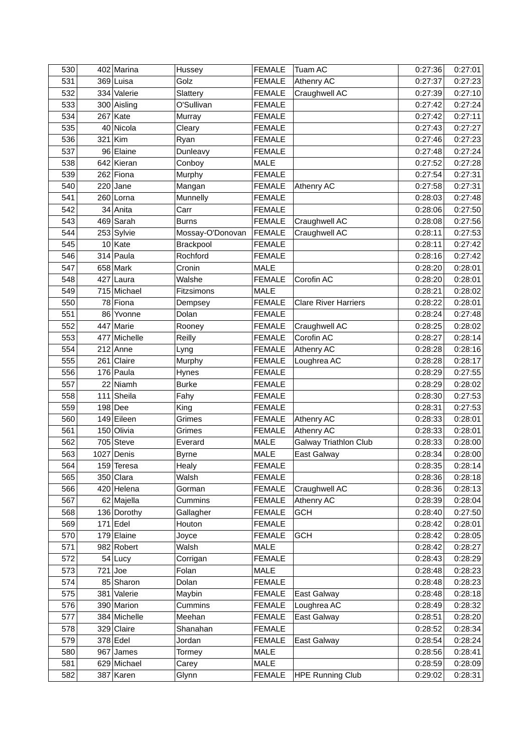| 530 | 402 Marina   | Hussey           | <b>FEMALE</b> | <b>Tuam AC</b>               | 0:27:36 | 0:27:01 |
|-----|--------------|------------------|---------------|------------------------------|---------|---------|
| 531 | 369 Luisa    | Golz             | <b>FEMALE</b> | Athenry AC                   | 0:27:37 | 0:27:23 |
| 532 | 334 Valerie  | Slattery         | <b>FEMALE</b> | Craughwell AC                | 0:27:39 | 0:27:10 |
| 533 | 300 Aisling  | O'Sullivan       | <b>FEMALE</b> |                              | 0:27:42 | 0:27:24 |
| 534 | $267$ Kate   | Murray           | <b>FEMALE</b> |                              | 0:27:42 | 0:27:11 |
| 535 | 40 Nicola    | Cleary           | <b>FEMALE</b> |                              | 0:27:43 | 0:27:27 |
| 536 | $321$ Kim    | Ryan             | <b>FEMALE</b> |                              | 0:27:46 | 0:27:23 |
| 537 | 96 Elaine    | Dunleavy         | <b>FEMALE</b> |                              | 0:27:48 | 0:27:24 |
| 538 | 642 Kieran   | Conboy           | <b>MALE</b>   |                              | 0:27:52 | 0:27:28 |
| 539 | 262 Fiona    | Murphy           | <b>FEMALE</b> |                              | 0:27:54 | 0:27:31 |
| 540 | $220$ Jane   | Mangan           | <b>FEMALE</b> | Athenry AC                   | 0:27:58 | 0:27:31 |
| 541 | 260 Lorna    | Munnelly         | <b>FEMALE</b> |                              | 0:28:03 | 0:27:48 |
| 542 | 34 Anita     | Carr             | <b>FEMALE</b> |                              | 0:28:06 | 0:27:50 |
| 543 | $469$ Sarah  | <b>Burns</b>     | <b>FEMALE</b> | Craughwell AC                | 0:28:08 | 0:27:56 |
| 544 | 253 Sylvie   | Mossay-O'Donovan | <b>FEMALE</b> | Craughwell AC                | 0:28:11 | 0:27:53 |
| 545 | $10$ Kate    | Brackpool        | <b>FEMALE</b> |                              | 0:28:11 | 0:27:42 |
| 546 | $314$ Paula  | Rochford         | <b>FEMALE</b> |                              | 0:28:16 | 0:27:42 |
| 547 | $658$ Mark   | Cronin           | <b>MALE</b>   |                              | 0:28:20 | 0:28:01 |
| 548 | 427 Laura    | Walshe           | <b>FEMALE</b> | Corofin AC                   | 0:28:20 | 0:28:01 |
| 549 | 715 Michael  | Fitzsimons       | <b>MALE</b>   |                              | 0:28:21 | 0:28:02 |
| 550 | 78 Fiona     | Dempsey          | <b>FEMALE</b> | <b>Clare River Harriers</b>  | 0:28:22 | 0:28:01 |
| 551 | 86 Yvonne    | Dolan            | <b>FEMALE</b> |                              | 0:28:24 | 0:27:48 |
| 552 | 447 Marie    | Rooney           | <b>FEMALE</b> | Craughwell AC                | 0:28:25 | 0:28:02 |
| 553 | 477 Michelle | Reilly           | <b>FEMALE</b> | Corofin AC                   | 0:28:27 | 0:28:14 |
| 554 | $212$ Anne   | Lyng             | <b>FEMALE</b> | Athenry AC                   | 0:28:28 | 0:28:16 |
| 555 | $261$ Claire | Murphy           | <b>FEMALE</b> | Loughrea AC                  | 0:28:28 | 0:28:17 |
| 556 | $176$ Paula  | Hynes            | <b>FEMALE</b> |                              | 0:28:29 | 0:27:55 |
| 557 | 22 Niamh     | <b>Burke</b>     | <b>FEMALE</b> |                              | 0:28:29 | 0:28:02 |
| 558 | $111$ Sheila | Fahy             | <b>FEMALE</b> |                              | 0:28:30 | 0:27:53 |
| 559 | $198$ Dee    | King             | <b>FEMALE</b> |                              | 0:28:31 | 0:27:53 |
| 560 | 149 Eileen   | Grimes           | <b>FEMALE</b> | Athenry AC                   | 0:28:33 | 0:28:01 |
| 561 | 150 Olivia   | Grimes           | <b>FEMALE</b> | Athenry AC                   | 0:28:33 | 0:28:01 |
| 562 | $705$ Steve  | Everard          | <b>MALE</b>   | <b>Galway Triathlon Club</b> | 0:28:33 | 0:28:00 |
| 563 | 1027 Denis   | <b>Byrne</b>     | <b>MALE</b>   | <b>East Galway</b>           | 0:28:34 | 0:28:00 |
| 564 | $159$ Teresa | Healy            | <b>FEMALE</b> |                              | 0:28:35 | 0:28:14 |
| 565 | $350$ Clara  | Walsh            | <b>FEMALE</b> |                              | 0:28:36 | 0:28:18 |
| 566 | 420 Helena   | Gorman           | <b>FEMALE</b> | Craughwell AC                | 0:28:36 | 0:28:13 |
| 567 | 62 Majella   | Cummins          | FEMALE        | Athenry AC                   | 0:28:39 | 0:28:04 |
| 568 | 136 Dorothy  | Gallagher        | <b>FEMALE</b> | <b>GCH</b>                   | 0:28:40 | 0:27:50 |
| 569 | $171$ Edel   | Houton           | <b>FEMALE</b> |                              | 0:28:42 | 0:28:01 |
| 570 | $179$ Elaine | Joyce            | <b>FEMALE</b> | <b>GCH</b>                   | 0:28:42 | 0:28:05 |
| 571 | 982 Robert   | Walsh            | MALE          |                              | 0:28:42 | 0:28:27 |
| 572 | $54$ Lucy    | Corrigan         | <b>FEMALE</b> |                              | 0:28:43 | 0:28:29 |
| 573 | 721 Joe      | Folan            | MALE          |                              | 0:28:48 | 0:28:23 |
| 574 | 85 Sharon    | Dolan            | <b>FEMALE</b> |                              | 0:28:48 | 0:28:23 |
| 575 | 381 Valerie  | Maybin           | <b>FEMALE</b> | East Galway                  | 0:28:48 | 0:28:18 |
| 576 | 390 Marion   | Cummins          | <b>FEMALE</b> | Loughrea AC                  | 0:28:49 | 0:28:32 |
| 577 | 384 Michelle | Meehan           | <b>FEMALE</b> | East Galway                  | 0:28:51 | 0:28:20 |
| 578 | 329 Claire   | Shanahan         | <b>FEMALE</b> |                              | 0:28:52 | 0:28:34 |
| 579 | $378$ Edel   | Jordan           | FEMALE        | East Galway                  | 0:28:54 | 0:28:24 |
| 580 | 967 James    | Tormey           | MALE          |                              | 0:28:56 | 0:28:41 |
| 581 | 629 Michael  | Carey            | <b>MALE</b>   |                              | 0:28:59 | 0:28:09 |
| 582 | $387$ Karen  | Glynn            | FEMALE        | <b>HPE Running Club</b>      | 0:29:02 | 0:28:31 |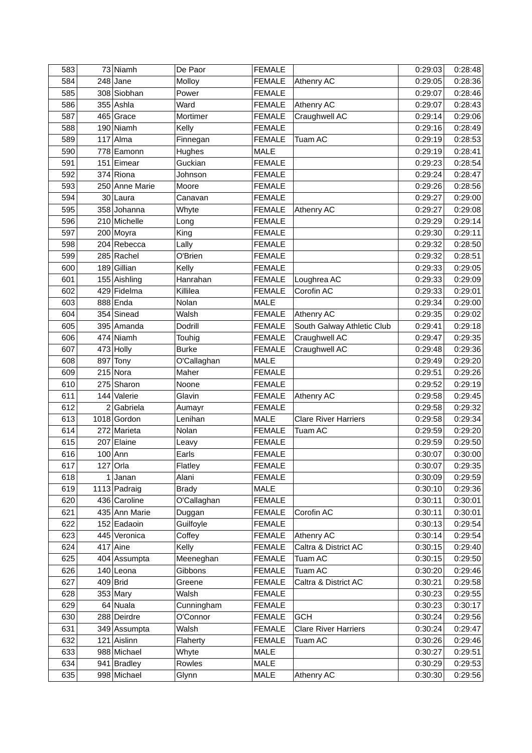| 583 | 73 Niamh       | De Paor      | <b>FEMALE</b> |                             | 0:29:03 | 0:28:48 |
|-----|----------------|--------------|---------------|-----------------------------|---------|---------|
| 584 | $248$ Jane     | Molloy       | <b>FEMALE</b> | Athenry AC                  | 0:29:05 | 0:28:36 |
| 585 | 308 Siobhan    | Power        | <b>FEMALE</b> |                             | 0:29:07 | 0:28:46 |
| 586 | 355 Ashla      | Ward         | <b>FEMALE</b> | Athenry AC                  | 0:29:07 | 0:28:43 |
| 587 | $465$ Grace    | Mortimer     | <b>FEMALE</b> | Craughwell AC               | 0:29:14 | 0:29:06 |
| 588 | 190 Niamh      | Kelly        | <b>FEMALE</b> |                             | 0:29:16 | 0:28:49 |
| 589 | $117$ Alma     | Finnegan     | <b>FEMALE</b> | Tuam AC                     | 0:29:19 | 0:28:53 |
| 590 | 778 Eamonn     | Hughes       | MALE          |                             | 0:29:19 | 0:28:41 |
| 591 | 151 Eimear     | Guckian      | <b>FEMALE</b> |                             | 0:29:23 | 0:28:54 |
| 592 | $374$ Riona    | Johnson      | <b>FEMALE</b> |                             | 0:29:24 | 0:28:47 |
| 593 | 250 Anne Marie | Moore        | <b>FEMALE</b> |                             | 0:29:26 | 0:28:56 |
| 594 | 30 Laura       | Canavan      | <b>FEMALE</b> |                             | 0:29:27 | 0:29:00 |
| 595 | 358 Johanna    | Whyte        | <b>FEMALE</b> | Athenry AC                  | 0:29:27 | 0:29:08 |
| 596 | 210 Michelle   | Long         | <b>FEMALE</b> |                             | 0:29:29 | 0:29:14 |
| 597 | 200 Moyra      | King         | <b>FEMALE</b> |                             | 0:29:30 | 0:29:11 |
| 598 | 204 Rebecca    | Lally        | <b>FEMALE</b> |                             | 0:29:32 | 0:28:50 |
| 599 | $285$ Rachel   | O'Brien      | <b>FEMALE</b> |                             | 0:29:32 | 0:28:51 |
| 600 | 189 Gillian    | Kelly        | <b>FEMALE</b> |                             | 0:29:33 | 0:29:05 |
| 601 | 155 Aishling   | Hanrahan     | <b>FEMALE</b> | Loughrea AC                 | 0:29:33 | 0:29:09 |
| 602 | 429 Fidelma    | Killilea     | <b>FEMALE</b> | Corofin AC                  | 0:29:33 | 0:29:01 |
| 603 | 888 Enda       | Nolan        | MALE          |                             | 0:29:34 | 0:29:00 |
| 604 | 354 Sinead     | Walsh        | <b>FEMALE</b> | Athenry AC                  | 0:29:35 | 0:29:02 |
| 605 | 395 Amanda     | Dodrill      | <b>FEMALE</b> | South Galway Athletic Club  | 0:29:41 | 0:29:18 |
| 606 | $474$ Niamh    | Touhig       | <b>FEMALE</b> | Craughwell AC               | 0:29:47 | 0:29:35 |
| 607 | $473$ Holly    | <b>Burke</b> | <b>FEMALE</b> | Craughwell AC               | 0:29:48 | 0:29:36 |
| 608 | 897 Tony       | O'Callaghan  | MALE          |                             | 0:29:49 | 0:29:20 |
| 609 | $215$ Nora     | Maher        | <b>FEMALE</b> |                             | 0:29:51 | 0:29:26 |
| 610 | 275 Sharon     | Noone        | <b>FEMALE</b> |                             | 0:29:52 | 0:29:19 |
| 611 | 144 Valerie    | Glavin       | <b>FEMALE</b> | Athenry AC                  | 0:29:58 | 0:29:45 |
| 612 | $2 $ Gabriela  | Aumayr       | <b>FEMALE</b> |                             | 0:29:58 | 0:29:32 |
| 613 | 1018 Gordon    | Lenihan      | MALE          | <b>Clare River Harriers</b> | 0:29:58 | 0:29:34 |
| 614 | 272 Marieta    | Nolan        | <b>FEMALE</b> | Tuam AC                     | 0:29:59 | 0:29:20 |
| 615 | 207 Elaine     | Leavy        | <b>FEMALE</b> |                             | 0:29:59 | 0:29:50 |
| 616 | $100$ Ann      | Earls        | <b>FEMALE</b> |                             | 0:30:07 | 0:30:00 |
| 617 | $127$ Orla     | Flatley      | <b>FEMALE</b> |                             | 0:30:07 | 0:29:35 |
| 618 | $1$ Janan      | Alani        | <b>FEMALE</b> |                             | 0:30:09 | 0:29:59 |
| 619 | 1113 Padraig   | <b>Brady</b> | MALE          |                             | 0:30:10 | 0:29:36 |
| 620 | 436 Caroline   | O'Callaghan  | <b>FEMALE</b> |                             | 0:30:11 | 0:30:01 |
| 621 | 435 Ann Marie  | Duggan       | <b>FEMALE</b> | Corofin AC                  | 0:30:11 | 0:30:01 |
| 622 | 152 Eadaoin    | Guilfoyle    | <b>FEMALE</b> |                             | 0:30:13 | 0:29:54 |
| 623 | 445 Veronica   | Coffey       | <b>FEMALE</b> | Athenry AC                  | 0:30:14 | 0:29:54 |
| 624 | $417$ Aine     | Kelly        | <b>FEMALE</b> | Caltra & District AC        | 0:30:15 | 0:29:40 |
| 625 | 404 Assumpta   | Meeneghan    | <b>FEMALE</b> | Tuam AC                     | 0:30:15 | 0:29:50 |
| 626 | $140$  Leona   | Gibbons      | <b>FEMALE</b> | Tuam AC                     | 0:30:20 | 0:29:46 |
| 627 | $409$ Brid     | Greene       | <b>FEMALE</b> | Caltra & District AC        | 0:30:21 | 0:29:58 |
| 628 | $353$ Mary     | Walsh        | <b>FEMALE</b> |                             | 0:30:23 | 0:29:55 |
| 629 | 64 Nuala       | Cunningham   | <b>FEMALE</b> |                             | 0:30:23 | 0:30:17 |
| 630 | 288 Deirdre    | O'Connor     | <b>FEMALE</b> | <b>GCH</b>                  | 0:30:24 | 0:29:56 |
| 631 | 349 Assumpta   | Walsh        | <b>FEMALE</b> | <b>Clare River Harriers</b> | 0:30:24 | 0:29:47 |
| 632 | 121 Aislinn    | Flaherty     | <b>FEMALE</b> | Tuam AC                     | 0:30:26 | 0:29:46 |
| 633 | 988 Michael    | Whyte        | MALE          |                             | 0:30:27 | 0:29:51 |
| 634 | $941$ Bradley  | Rowles       | MALE          |                             | 0:30:29 | 0:29:53 |
| 635 | 998 Michael    | Glynn        | MALE          | Athenry AC                  | 0:30:30 | 0:29:56 |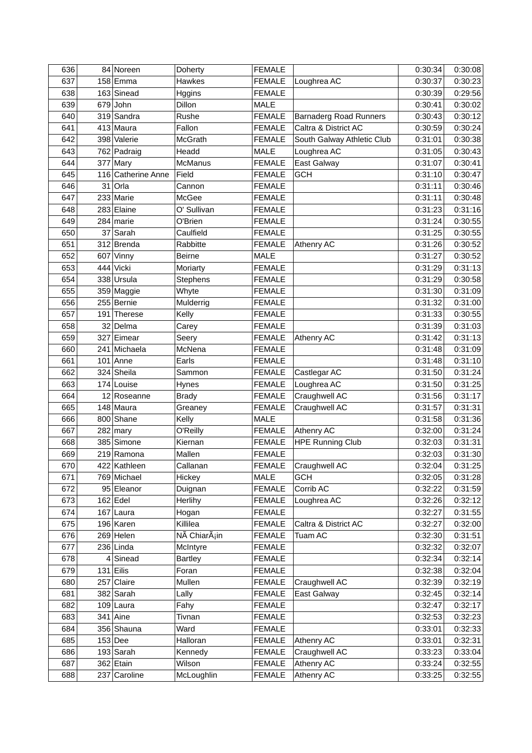| 636 | 84 Noreen          | Doherty                   | <b>FEMALE</b> |                               | 0:30:34 | 0:30:08 |
|-----|--------------------|---------------------------|---------------|-------------------------------|---------|---------|
| 637 | $158$ Emma         | <b>Hawkes</b>             | <b>FEMALE</b> | Loughrea AC                   | 0:30:37 | 0:30:23 |
| 638 | 163 Sinead         | Hggins                    | <b>FEMALE</b> |                               | 0:30:39 | 0:29:56 |
| 639 | $679$ John         | Dillon                    | <b>MALE</b>   |                               | 0:30:41 | 0:30:02 |
| 640 | 319 Sandra         | Rushe                     | <b>FEMALE</b> | <b>Barnaderg Road Runners</b> | 0:30:43 | 0:30:12 |
| 641 | $413$ Maura        | Fallon                    | <b>FEMALE</b> | Caltra & District AC          | 0:30:59 | 0:30:24 |
| 642 | 398 Valerie        | McGrath                   | <b>FEMALE</b> | South Galway Athletic Club    | 0:31:01 | 0:30:38 |
| 643 | 762 Padraig        | Headd                     | <b>MALE</b>   | Loughrea AC                   | 0:31:05 | 0:30:43 |
| 644 | $377$ Mary         | <b>McManus</b>            | <b>FEMALE</b> | East Galway                   | 0:31:07 | 0:30:41 |
| 645 | 116 Catherine Anne | Field                     | <b>FEMALE</b> | <b>GCH</b>                    | 0:31:10 | 0:30:47 |
| 646 | $31$ Orla          | Cannon                    | <b>FEMALE</b> |                               | 0:31:11 | 0:30:46 |
| 647 | 233 Marie          | McGee                     | <b>FEMALE</b> |                               | 0:31:11 | 0:30:48 |
| 648 | 283 Elaine         | O' Sullivan               | <b>FEMALE</b> |                               | 0:31:23 | 0:31:16 |
| 649 | $284$ marie        | O'Brien                   | <b>FEMALE</b> |                               | 0:31:24 | 0:30:55 |
| 650 | 37 Sarah           | Caulfield                 | <b>FEMALE</b> |                               | 0:31:25 | 0:30:55 |
| 651 | 312 Brenda         | Rabbitte                  | <b>FEMALE</b> | Athenry AC                    | 0:31:26 | 0:30:52 |
| 652 | 607 Vinny          | <b>Beirne</b>             | MALE          |                               | 0:31:27 | 0:30:52 |
| 653 | 444 Vicki          | Moriarty                  | <b>FEMALE</b> |                               | 0:31:29 | 0:31:13 |
| 654 | 338 Ursula         | Stephens                  | <b>FEMALE</b> |                               | 0:31:29 | 0:30:58 |
| 655 | 359 Maggie         | Whyte                     | <b>FEMALE</b> |                               | 0:31:30 | 0:31:09 |
| 656 | 255 Bernie         | Mulderrig                 | <b>FEMALE</b> |                               | 0:31:32 | 0:31:00 |
| 657 | 191 Therese        | Kelly                     | <b>FEMALE</b> |                               | 0:31:33 | 0:30:55 |
| 658 | 32 Delma           | Carey                     | <b>FEMALE</b> |                               | 0:31:39 | 0:31:03 |
| 659 | 327 Eimear         | Seery                     | <b>FEMALE</b> | Athenry AC                    | 0:31:42 | 0:31:13 |
| 660 | 241 Michaela       | McNena                    | <b>FEMALE</b> |                               | 0:31:48 | 0:31:09 |
| 661 | $101$ Anne         | Earls                     | <b>FEMALE</b> |                               | 0:31:48 | 0:31:10 |
| 662 | 324 Sheila         | Sammon                    | <b>FEMALE</b> | Castlegar AC                  | 0:31:50 | 0:31:24 |
| 663 | 174 Louise         | Hynes                     | <b>FEMALE</b> | Loughrea AC                   | 0:31:50 | 0:31:25 |
| 664 | 12 Roseanne        | <b>Brady</b>              | <b>FEMALE</b> | Craughwell AC                 | 0:31:56 | 0:31:17 |
| 665 | 148 Maura          | Greaney                   | <b>FEMALE</b> | Craughwell AC                 | 0:31:57 | 0:31:31 |
| 666 | 800 Shane          | Kelly                     | MALE          |                               | 0:31:58 | 0:31:36 |
| 667 | 282 mary           | O'Reilly                  | <b>FEMALE</b> | Athenry AC                    | 0:32:00 | 0:31:24 |
| 668 | 385 Simone         | Kiernan                   | <b>FEMALE</b> | <b>HPE Running Club</b>       | 0:32:03 | 0:31:31 |
| 669 | 219 Ramona         | Mallen                    | <b>FEMALE</b> |                               | 0:32:03 | 0:31:30 |
| 670 | 422 Kathleen       | Callanan                  |               | FEMALE Craughwell AC          | 0:32:04 | 0:31:25 |
| 671 | 769 Michael        | Hickey                    | MALE          | <b>GCH</b>                    | 0:32:05 | 0:31:28 |
| 672 | 95 Eleanor         | Duignan                   | <b>FEMALE</b> | Corrib AC                     | 0:32:22 | 0:31:59 |
| 673 | $162$ Edel         | Herlihy                   | <b>FEMALE</b> | Loughrea AC                   | 0:32:26 | 0:32:12 |
| 674 | $167$ Laura        | Hogan                     | <b>FEMALE</b> |                               | 0:32:27 | 0:31:55 |
| 675 | 196 Karen          | Killilea                  | <b>FEMALE</b> | Caltra & District AC          | 0:32:27 | 0:32:00 |
| 676 | $269$ Helen        | NÃ ChiarÃ <sub>i</sub> in | <b>FEMALE</b> | Tuam AC                       | 0:32:30 | 0:31:51 |
| 677 | $236$ Linda        | McIntyre                  | <b>FEMALE</b> |                               | 0:32:32 | 0:32:07 |
| 678 | $4$ Sinead         | <b>Bartley</b>            | <b>FEMALE</b> |                               | 0:32:34 | 0:32:14 |
| 679 | $131$ Eilis        | Foran                     | <b>FEMALE</b> |                               | 0:32:38 | 0:32:04 |
| 680 | 257 Claire         | Mullen                    | <b>FEMALE</b> | Craughwell AC                 | 0:32:39 | 0:32:19 |
| 681 | $382$ Sarah        | Lally                     | <b>FEMALE</b> | East Galway                   | 0:32:45 | 0:32:14 |
| 682 | $109$ Laura        | Fahy                      | <b>FEMALE</b> |                               | 0:32:47 | 0:32:17 |
| 683 | $341$ Aine         | Tivnan                    | <b>FEMALE</b> |                               | 0:32:53 | 0:32:23 |
| 684 | 356 Shauna         | Ward                      | <b>FEMALE</b> |                               | 0:33:01 | 0:32:33 |
| 685 | $153$ Dee          | Halloran                  | <b>FEMALE</b> | Athenry AC                    | 0:33:01 | 0:32:31 |
| 686 | 193 Sarah          | Kennedy                   | <b>FEMALE</b> | Craughwell AC                 | 0:33:23 | 0:33:04 |
| 687 | $362$ Etain        | Wilson                    | <b>FEMALE</b> | Athenry AC                    | 0:33:24 | 0:32:55 |
| 688 | 237 Caroline       | McLoughlin                | <b>FEMALE</b> | Athenry AC                    | 0:33:25 | 0:32:55 |